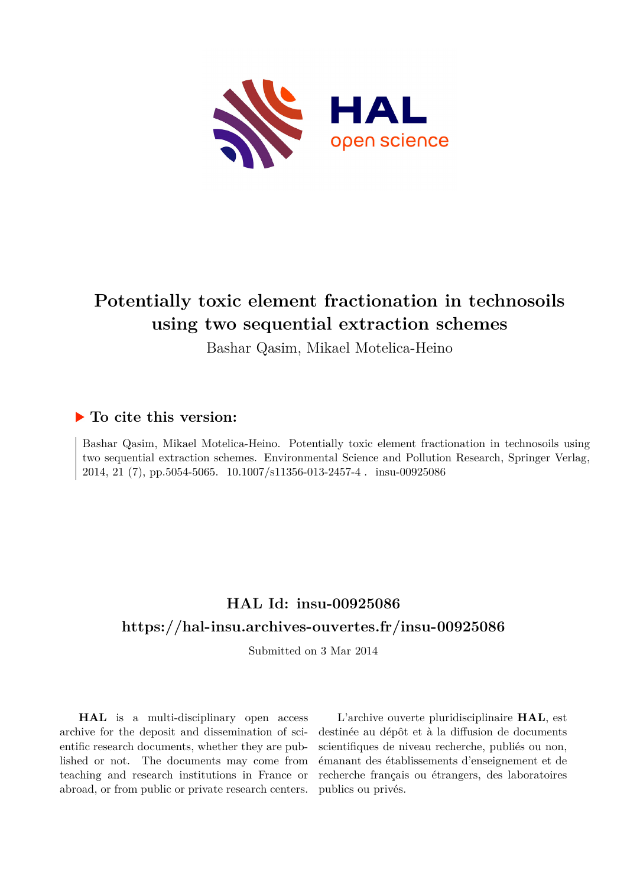

# **Potentially toxic element fractionation in technosoils using two sequential extraction schemes**

Bashar Qasim, Mikael Motelica-Heino

# **To cite this version:**

Bashar Qasim, Mikael Motelica-Heino. Potentially toxic element fractionation in technosoils using two sequential extraction schemes. Environmental Science and Pollution Research, Springer Verlag, 2014, 21 (7), pp.5054-5065. 10.1007/s11356-013-2457-4. insu-00925086

# **HAL Id: insu-00925086 <https://hal-insu.archives-ouvertes.fr/insu-00925086>**

Submitted on 3 Mar 2014

**HAL** is a multi-disciplinary open access archive for the deposit and dissemination of scientific research documents, whether they are published or not. The documents may come from teaching and research institutions in France or abroad, or from public or private research centers.

L'archive ouverte pluridisciplinaire **HAL**, est destinée au dépôt et à la diffusion de documents scientifiques de niveau recherche, publiés ou non, émanant des établissements d'enseignement et de recherche français ou étrangers, des laboratoires publics ou privés.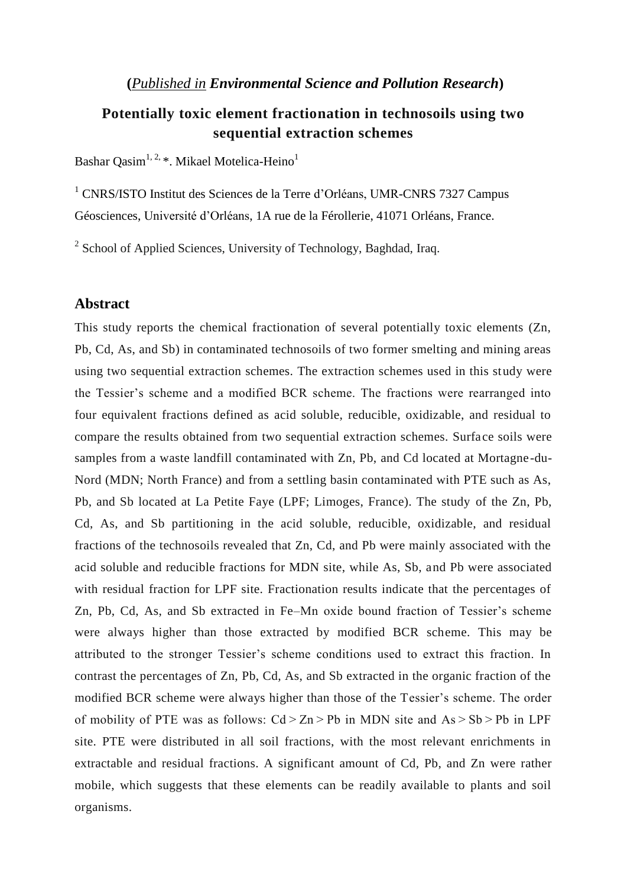### **(***Published in Environmental Science and Pollution Research***)**

# **Potentially toxic element fractionation in technosoils using two sequential extraction schemes**

Bashar  $\mathrm{Oasim}^{1, 2, \ast}$ . Mikael Motelica-Heino<sup>1</sup>

<sup>1</sup> CNRS/ISTO Institut des Sciences de la Terre d'Orléans, UMR-CNRS 7327 Campus Géosciences, Université d'Orléans, 1A rue de la Férollerie, 41071 Orléans, France.

<sup>2</sup> School of Applied Sciences, University of Technology, Baghdad, Iraq.

### **Abstract**

This study reports the chemical fractionation of several potentially toxic elements (Zn, Pb, Cd, As, and Sb) in contaminated technosoils of two former smelting and mining areas using two sequential extraction schemes. The extraction schemes used in this study were the Tessier's scheme and a modified BCR scheme. The fractions were rearranged into four equivalent fractions defined as acid soluble, reducible, oxidizable, and residual to compare the results obtained from two sequential extraction schemes. Surface soils were samples from a waste landfill contaminated with Zn, Pb, and Cd located at Mortagne-du-Nord (MDN; North France) and from a settling basin contaminated with PTE such as As, Pb, and Sb located at La Petite Faye (LPF; Limoges, France). The study of the Zn, Pb, Cd, As, and Sb partitioning in the acid soluble, reducible, oxidizable, and residual fractions of the technosoils revealed that Zn, Cd, and Pb were mainly associated with the acid soluble and reducible fractions for MDN site, while As, Sb, and Pb were associated with residual fraction for LPF site. Fractionation results indicate that the percentages of Zn, Pb, Cd, As, and Sb extracted in Fe–Mn oxide bound fraction of Tessier's scheme were always higher than those extracted by modified BCR scheme. This may be attributed to the stronger Tessier's scheme conditions used to extract this fraction. In contrast the percentages of Zn, Pb, Cd, As, and Sb extracted in the organic fraction of the modified BCR scheme were always higher than those of the Tessier's scheme. The order of mobility of PTE was as follows:  $Cd > Zn > Pb$  in MDN site and  $As > Sb > Pb$  in LPF site. PTE were distributed in all soil fractions, with the most relevant enrichments in extractable and residual fractions. A significant amount of Cd, Pb, and Zn were rather mobile, which suggests that these elements can be readily available to plants and soil organisms.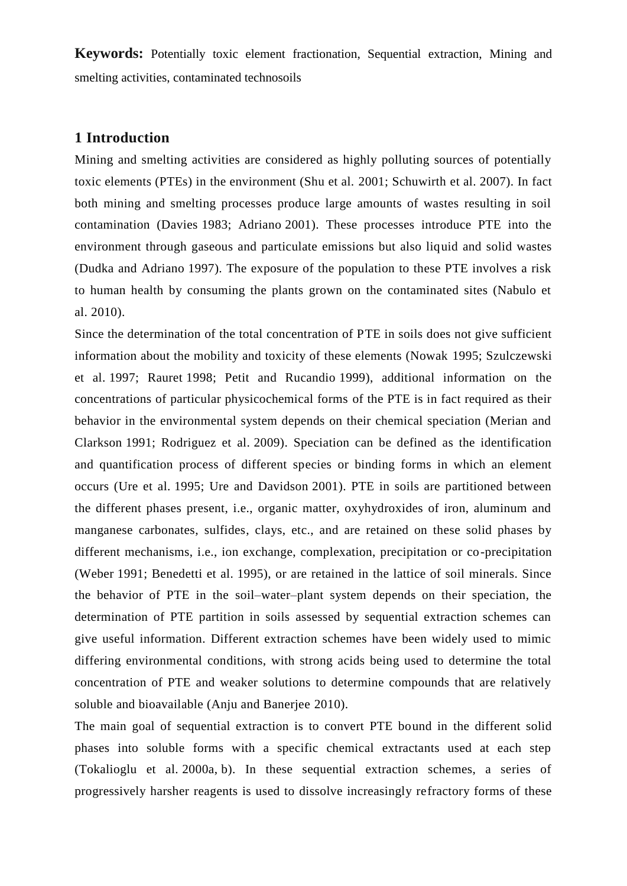**Keywords:** Potentially toxic element fractionation, Sequential extraction, Mining and smelting activities, contaminated technosoils

# **1 Introduction**

Mining and smelting activities are considered as highly polluting sources of potentially toxic elements (PTEs) in the environment (Shu et al. 2001; Schuwirth et al. 2007). In fact both mining and smelting processes produce large amounts of wastes resulting in soil contamination (Davies 1983; Adriano 2001). These processes introduce PTE into the environment through gaseous and particulate emissions but also liquid and solid wastes (Dudka and Adriano 1997). The exposure of the population to these PTE involves a risk to human health by consuming the plants grown on the contaminated sites (Nabulo et al. 2010).

Since the determination of the total concentration of PTE in soils does not give sufficient information about the mobility and toxicity of these elements (Nowak 1995; Szulczewski et al. 1997; Rauret 1998; Petit and Rucandio 1999), additional information on the concentrations of particular physicochemical forms of the PTE is in fact required as their behavior in the environmental system depends on their chemical speciation (Merian and Clarkson 1991; Rodriguez et al. 2009). Speciation can be defined as the identification and quantification process of different species or binding forms in which an element occurs (Ure et al. 1995; Ure and Davidson 2001). PTE in soils are partitioned between the different phases present, i.e., organic matter, oxyhydroxides of iron, aluminum and manganese carbonates, sulfides, clays, etc., and are retained on these solid phases by different mechanisms, i.e., ion exchange, complexation, precipitation or co-precipitation (Weber 1991; Benedetti et al. 1995), or are retained in the lattice of soil minerals. Since the behavior of PTE in the soil–water–plant system depends on their speciation, the determination of PTE partition in soils assessed by sequential extraction schemes can give useful information. Different extraction schemes have been widely used to mimic differing environmental conditions, with strong acids being used to determine the total concentration of PTE and weaker solutions to determine compounds that are relatively soluble and bioavailable (Anju and Banerjee 2010).

The main goal of sequential extraction is to convert PTE bound in the different solid phases into soluble forms with a specific chemical extractants used at each step (Tokalioglu et al. 2000a, b). In these sequential extraction schemes, a series of progressively harsher reagents is used to dissolve increasingly refractory forms of these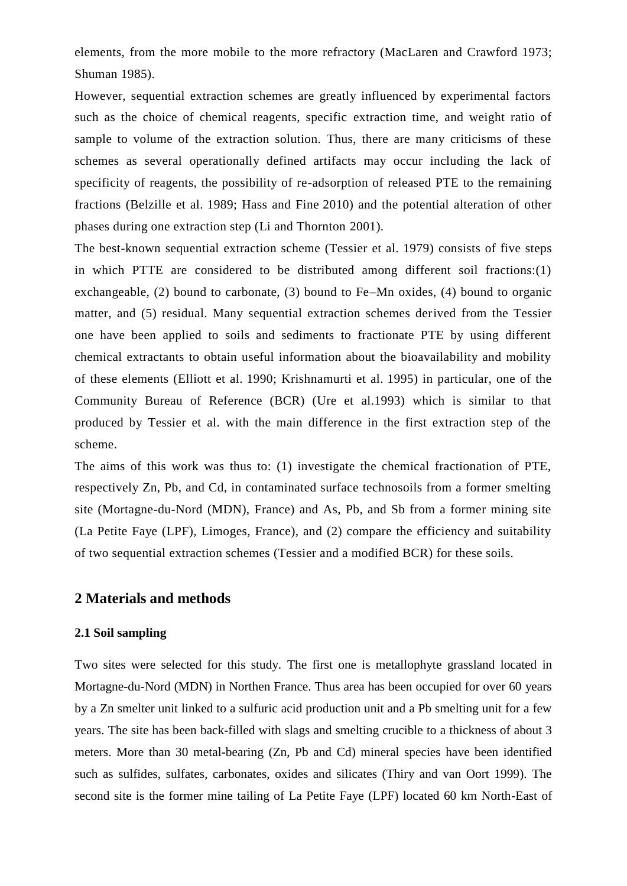elements, from the more mobile to the more refractory (MacLaren and Crawford 1973; Shuman 1985).

However, sequential extraction schemes are greatly influenced by experimental factors such as the choice of chemical reagents, specific extraction time, and weight ratio of sample to volume of the extraction solution. Thus, there are many criticisms of these schemes as several operationally defined artifacts may occur including the lack of specificity of reagents, the possibility of re-adsorption of released PTE to the remaining fractions (Belzille et al. 1989; Hass and Fine 2010) and the potential alteration of other phases during one extraction step (Li and Thornton 2001).

The best-known sequential extraction scheme (Tessier et al. 1979) consists of five steps in which PTTE are considered to be distributed among different soil fractions:(1) exchangeable, (2) bound to carbonate, (3) bound to Fe–Mn oxides, (4) bound to organic matter, and (5) residual. Many sequential extraction schemes derived from the Tessier one have been applied to soils and sediments to fractionate PTE by using different chemical extractants to obtain useful information about the bioavailability and mobility of these elements (Elliott et al. 1990; Krishnamurti et al. 1995) in particular, one of the Community Bureau of Reference (BCR) (Ure et al.1993) which is similar to that produced by Tessier et al. with the main difference in the first extraction step of the scheme.

The aims of this work was thus to: (1) investigate the chemical fractionation of PTE, respectively Zn, Pb, and Cd, in contaminated surface technosoils from a former smelting site (Mortagne-du-Nord (MDN), France) and As, Pb, and Sb from a former mining site (La Petite Faye (LPF), Limoges, France), and (2) compare the efficiency and suitability of two sequential extraction schemes (Tessier and a modified BCR) for these soils.

# **2 Materials and methods**

#### **2.1 Soil sampling**

Two sites were selected for this study. The first one is metallophyte grassland located in Mortagne-du-Nord (MDN) in Northen France. Thus area has been occupied for over 60 years by a Zn smelter unit linked to a sulfuric acid production unit and a Pb smelting unit for a few years. The site has been back-filled with slags and smelting crucible to a thickness of about 3 meters. More than 30 metal-bearing (Zn, Pb and Cd) mineral species have been identified such as sulfides, sulfates, carbonates, oxides and silicates (Thiry and van Oort 1999). The second site is the former mine tailing of La Petite Faye (LPF) located 60 km North-East of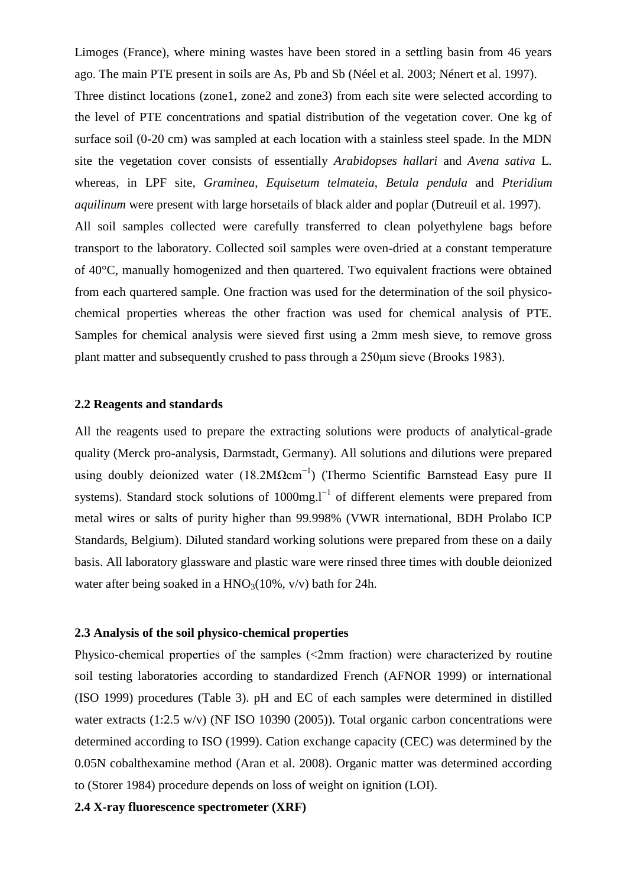Limoges (France), where mining wastes have been stored in a settling basin from 46 years ago. The main PTE present in soils are As, Pb and Sb (Néel et al. 2003; Nénert et al. 1997). Three distinct locations (zone1, zone2 and zone3) from each site were selected according to the level of PTE concentrations and spatial distribution of the vegetation cover. One kg of surface soil (0-20 cm) was sampled at each location with a stainless steel spade. In the MDN site the vegetation cover consists of essentially *Arabidopses hallari* and *Avena sativa* L*.*  whereas, in LPF site, *Graminea*, *Equisetum telmateia*, *Betula pendula* and *Pteridium aquilinum* were present with large horsetails of black alder and poplar (Dutreuil et al. 1997). All soil samples collected were carefully transferred to clean polyethylene bags before transport to the laboratory. Collected soil samples were oven-dried at a constant temperature of 40°C, manually homogenized and then quartered. Two equivalent fractions were obtained from each quartered sample. One fraction was used for the determination of the soil physicochemical properties whereas the other fraction was used for chemical analysis of PTE. Samples for chemical analysis were sieved first using a 2mm mesh sieve, to remove gross plant matter and subsequently crushed to pass through a 250μm sieve (Brooks 1983).

#### **2.2 Reagents and standards**

All the reagents used to prepare the extracting solutions were products of analytical-grade quality (Merck pro-analysis, Darmstadt, Germany). All solutions and dilutions were prepared using doubly deionized water  $(18.2M\Omega\text{cm}^{-1})$  (Thermo Scientific Barnstead Easy pure II systems). Standard stock solutions of 1000mg.l<sup>-1</sup> of different elements were prepared from metal wires or salts of purity higher than 99.998% (VWR international, BDH Prolabo ICP Standards, Belgium). Diluted standard working solutions were prepared from these on a daily basis. All laboratory glassware and plastic ware were rinsed three times with double deionized water after being soaked in a  $HNO<sub>3</sub>(10\%, v/v)$  bath for 24h.

#### **2.3 Analysis of the soil physico-chemical properties**

Physico-chemical properties of the samples  $(\leq 2 \text{mm fraction})$  were characterized by routine soil testing laboratories according to standardized French (AFNOR 1999) or international (ISO 1999) procedures (Table 3). pH and EC of each samples were determined in distilled water extracts (1:2.5 w/v) (NF ISO 10390 (2005)). Total organic carbon concentrations were determined according to ISO (1999). Cation exchange capacity (CEC) was determined by the 0.05N cobalthexamine method (Aran et al. 2008). Organic matter was determined according to (Storer 1984) procedure depends on loss of weight on ignition (LOI).

#### **2.4 X-ray fluorescence spectrometer (XRF)**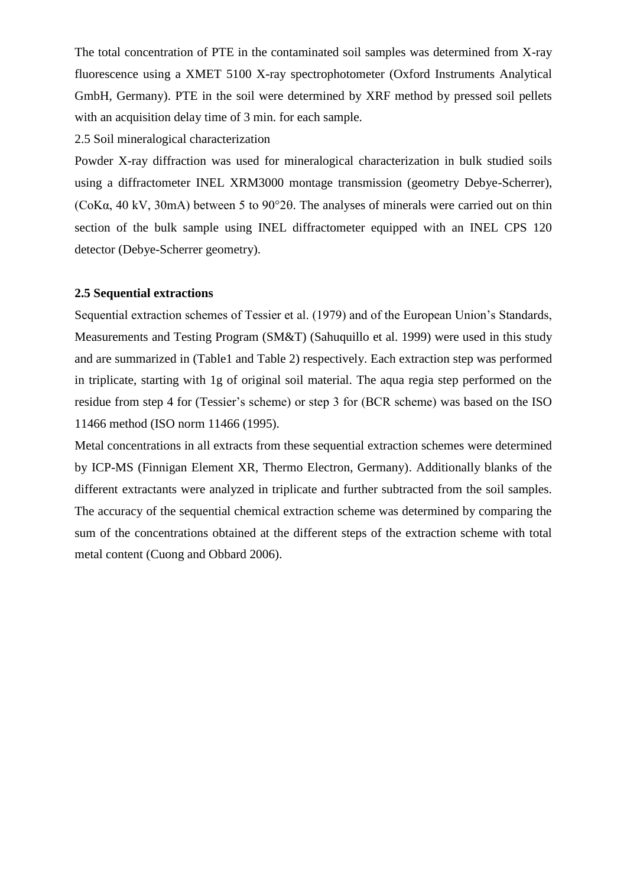The total concentration of PTE in the contaminated soil samples was determined from X-ray fluorescence using a XMET 5100 X-ray spectrophotometer (Oxford Instruments Analytical GmbH, Germany). PTE in the soil were determined by XRF method by pressed soil pellets with an acquisition delay time of 3 min. for each sample.

2.5 Soil mineralogical characterization

Powder X-ray diffraction was used for mineralogical characterization in bulk studied soils using a diffractometer INEL XRM3000 montage transmission (geometry Debye-Scherrer), (CoK $\alpha$ , 40 kV, 30mA) between 5 to 90 $\degree$ 20. The analyses of minerals were carried out on thin section of the bulk sample using INEL diffractometer equipped with an INEL CPS 120 detector (Debye-Scherrer geometry).

### **2.5 Sequential extractions**

Sequential extraction schemes of Tessier et al. (1979) and of the European Union's Standards, Measurements and Testing Program (SM&T) (Sahuquillo et al. 1999) were used in this study and are summarized in (Table1 and Table 2) respectively. Each extraction step was performed in triplicate, starting with 1g of original soil material. The aqua regia step performed on the residue from step 4 for (Tessier's scheme) or step 3 for (BCR scheme) was based on the ISO 11466 method (ISO norm 11466 (1995).

Metal concentrations in all extracts from these sequential extraction schemes were determined by ICP-MS (Finnigan Element XR, Thermo Electron, Germany). Additionally blanks of the different extractants were analyzed in triplicate and further subtracted from the soil samples. The accuracy of the sequential chemical extraction scheme was determined by comparing the sum of the concentrations obtained at the different steps of the extraction scheme with total metal content (Cuong and Obbard 2006).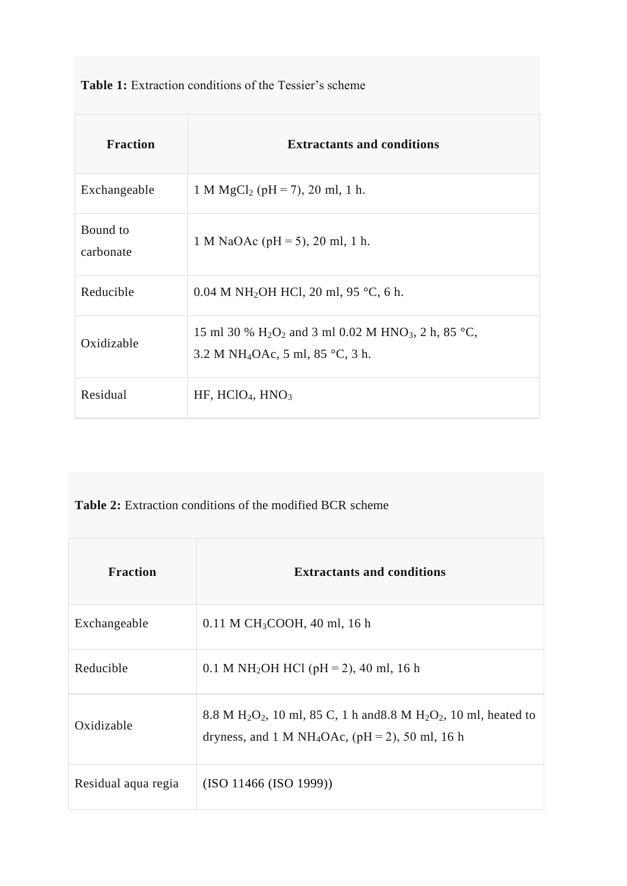|  |  | <b>Table 1:</b> Extraction conditions of the Tessier's scheme |
|--|--|---------------------------------------------------------------|
|  |  |                                                               |

| <b>Fraction</b>       | <b>Extractants and conditions</b>                                                                                  |  |  |  |
|-----------------------|--------------------------------------------------------------------------------------------------------------------|--|--|--|
| Exchangeable          | 1 M MgCl <sub>2</sub> (pH = 7), 20 ml, 1 h.                                                                        |  |  |  |
| Bound to<br>carbonate | 1 M NaOAc ( $pH = 5$ ), 20 ml, 1 h.                                                                                |  |  |  |
| Reducible             | 0.04 M NH <sub>2</sub> OH HCl, 20 ml, 95 °C, 6 h.                                                                  |  |  |  |
| Oxidizable            | 15 ml 30 % $H_2O_2$ and 3 ml 0.02 M HNO <sub>3</sub> , 2 h, 85 °C,<br>3.2 M NH <sub>4</sub> OAc, 5 ml, 85 °C, 3 h. |  |  |  |
| Residual              | HF, $HCIO4$ , $HNO3$                                                                                               |  |  |  |

# **Table 2:** Extraction conditions of the modified BCR scheme

| <b>Fraction</b>     | <b>Extractants and conditions</b>                                                                                                                                                |
|---------------------|----------------------------------------------------------------------------------------------------------------------------------------------------------------------------------|
| Exchangeable        | $0.11$ M CH <sub>3</sub> COOH, 40 ml, 16 h                                                                                                                                       |
| Reducible           | 0.1 M NH <sub>2</sub> OH HCl (pH = 2), 40 ml, 16 h                                                                                                                               |
| Oxidizable          | 8.8 M H <sub>2</sub> O <sub>2</sub> , 10 ml, 85 C, 1 h and 8.8 M H <sub>2</sub> O <sub>2</sub> , 10 ml, heated to<br>dryness, and 1 M NH <sub>4</sub> OAc, (pH = 2), 50 ml, 16 h |
| Residual aqua regia | (ISO 11466 (ISO 1999))                                                                                                                                                           |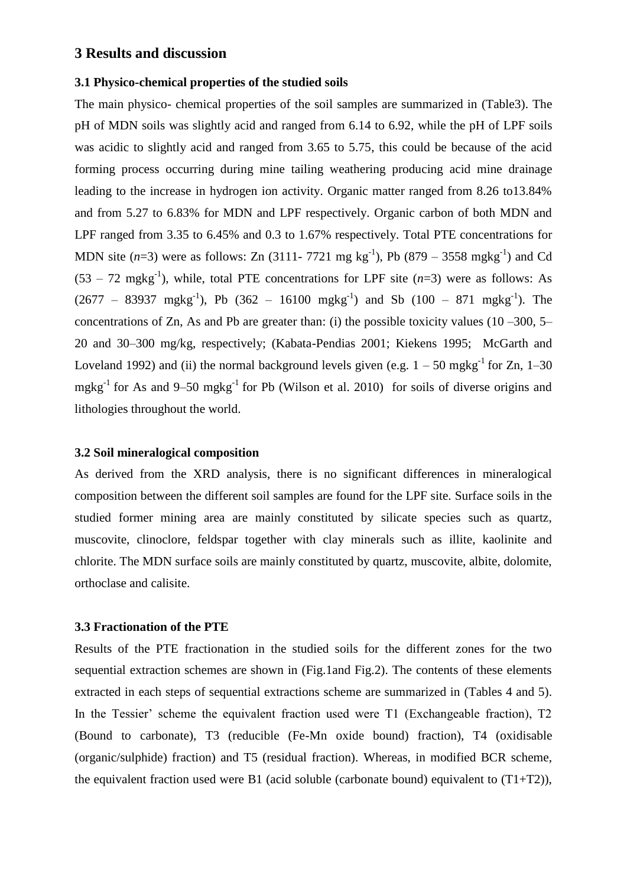# **3 Results and discussion**

#### **3.1 Physico-chemical properties of the studied soils**

The main physico- chemical properties of the soil samples are summarized in (Table3). The pH of MDN soils was slightly acid and ranged from 6.14 to 6.92, while the pH of LPF soils was acidic to slightly acid and ranged from 3.65 to 5.75, this could be because of the acid forming process occurring during mine tailing weathering producing acid mine drainage leading to the increase in hydrogen ion activity. Organic matter ranged from 8.26 to13.84% and from 5.27 to 6.83% for MDN and LPF respectively. Organic carbon of both MDN and LPF ranged from 3.35 to 6.45% and 0.3 to 1.67% respectively. Total PTE concentrations for MDN site  $(n=3)$  were as follows: Zn (3111- 7721 mg kg<sup>-1</sup>), Pb (879 – 3558 mgkg<sup>-1</sup>) and Cd  $(53 - 72 \text{ mgkg}^{-1})$ , while, total PTE concentrations for LPF site  $(n=3)$  were as follows: As  $(2677 - 83937 \text{ m}g\text{kg}^{-1})$ , Pb  $(362 - 16100 \text{ m}g\text{kg}^{-1})$  and Sb  $(100 - 871 \text{ m}g\text{kg}^{-1})$ . The concentrations of Zn, As and Pb are greater than: (i) the possible toxicity values (10 –300, 5– 20 and 30–300 mg/kg, respectively; (Kabata-Pendias 2001; Kiekens 1995; McGarth and Loveland 1992) and (ii) the normal background levels given (e.g.  $1 - 50$  mgkg<sup>-1</sup> for Zn, 1–30  $mgkg^{-1}$  for As and 9–50 mgkg<sup>-1</sup> for Pb (Wilson et al. 2010) for soils of diverse origins and lithologies throughout the world.

#### **3.2 Soil mineralogical composition**

As derived from the XRD analysis, there is no significant differences in mineralogical composition between the different soil samples are found for the LPF site. Surface soils in the studied former mining area are mainly constituted by silicate species such as quartz, muscovite, clinoclore, feldspar together with clay minerals such as illite, kaolinite and chlorite. The MDN surface soils are mainly constituted by quartz, muscovite, albite, dolomite, orthoclase and calisite.

#### **3.3 Fractionation of the PTE**

Results of the PTE fractionation in the studied soils for the different zones for the two sequential extraction schemes are shown in (Fig.1and Fig.2). The contents of these elements extracted in each steps of sequential extractions scheme are summarized in (Tables 4 and 5). In the Tessier' scheme the equivalent fraction used were T1 (Exchangeable fraction), T2 (Bound to carbonate), T3 (reducible (Fe-Mn oxide bound) fraction), T4 (oxidisable (organic/sulphide) fraction) and T5 (residual fraction). Whereas, in modified BCR scheme, the equivalent fraction used were B1 (acid soluble (carbonate bound) equivalent to  $(T1+T2)$ ),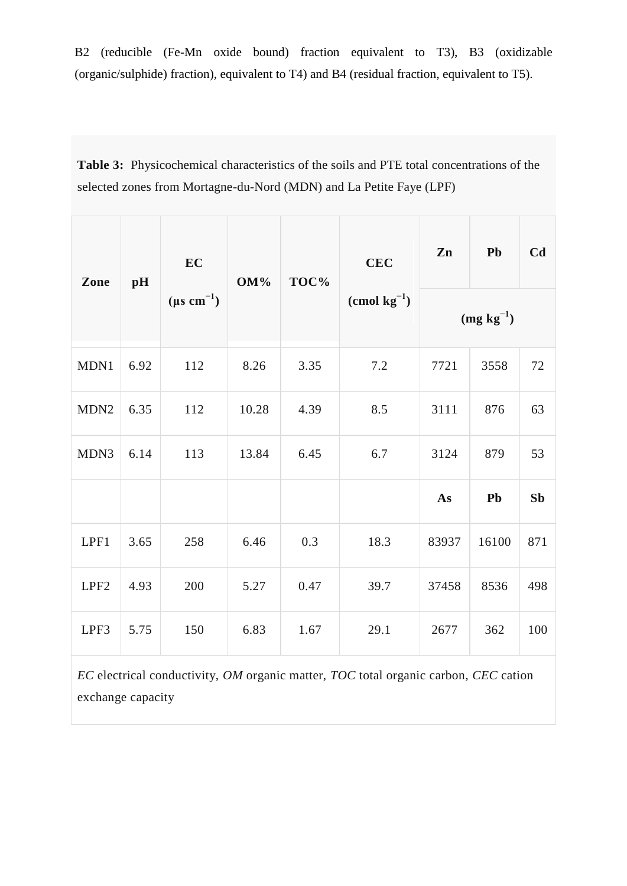B2 (reducible (Fe-Mn oxide bound) fraction equivalent to T3), B3 (oxidizable (organic/sulphide) fraction), equivalent to T4) and B4 (residual fraction, equivalent to T5).

**Table 3:** Physicochemical characteristics of the soils and PTE total concentrations of the selected zones from Mortagne-du-Nord (MDN) and La Petite Faye (LPF)

| Zone             | pH   | EC<br><b>CEC</b><br>TOC%<br>OM% |       | Zn   | Pb                | C <sub>d</sub> |       |     |  |
|------------------|------|---------------------------------|-------|------|-------------------|----------------|-------|-----|--|
|                  |      | $(\mu s \text{ cm}^{-1})$       |       |      | (cmol $kg^{-1}$ ) | $(mg kg^{-1})$ |       |     |  |
| MDN1             | 6.92 | 112                             | 8.26  | 3.35 | 7.2               | 7721           | 3558  | 72  |  |
| MDN <sub>2</sub> | 6.35 | 112                             | 10.28 | 4.39 | 8.5               | 3111           | 876   | 63  |  |
| MDN3             | 6.14 | 113                             | 13.84 | 6.45 | 6.7               | 3124           | 879   | 53  |  |
|                  |      |                                 |       |      |                   | As             | Pb    | Sb  |  |
| LPF1             | 3.65 | 258                             | 6.46  | 0.3  | 18.3              | 83937          | 16100 | 871 |  |
| LPF <sub>2</sub> | 4.93 | 200                             | 5.27  | 0.47 | 39.7              | 37458          | 8536  | 498 |  |
| LPF3             | 5.75 | 150                             | 6.83  | 1.67 | 29.1              | 2677           | 362   | 100 |  |

*EC* electrical conductivity, *OM* organic matter, *TOC* total organic carbon, *CEC* cation exchange capacity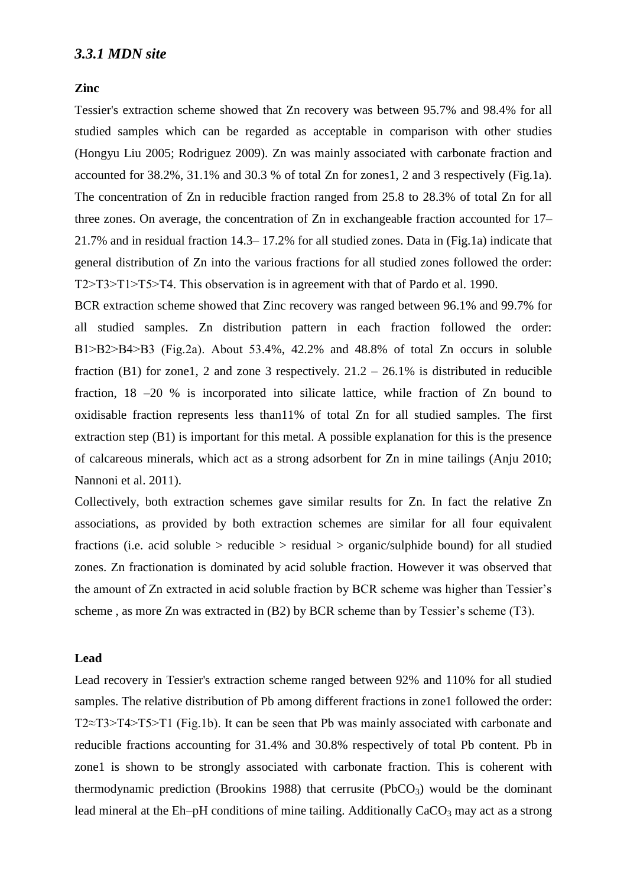### *3.3.1 MDN site*

#### **Zinc**

Tessier's extraction scheme showed that Zn recovery was between 95.7% and 98.4% for all studied samples which can be regarded as acceptable in comparison with other studies (Hongyu Liu 2005; Rodriguez 2009). Zn was mainly associated with carbonate fraction and accounted for 38.2%, 31.1% and 30.3 % of total Zn for zones1, 2 and 3 respectively (Fig.1a). The concentration of Zn in reducible fraction ranged from 25.8 to 28.3% of total Zn for all three zones. On average, the concentration of Zn in exchangeable fraction accounted for 17– 21.7% and in residual fraction 14.3– 17.2% for all studied zones. Data in (Fig.1a) indicate that general distribution of Zn into the various fractions for all studied zones followed the order: T2>T3>T1>T5>T4. This observation is in agreement with that of Pardo et al. 1990.

BCR extraction scheme showed that Zinc recovery was ranged between 96.1% and 99.7% for all studied samples. Zn distribution pattern in each fraction followed the order: B1 $>B2>B4>B3$  (Fig.2a). About 53.4%, 42.2% and 48.8% of total Zn occurs in soluble fraction (B1) for zone1, 2 and zone 3 respectively.  $21.2 - 26.1\%$  is distributed in reducible fraction, 18 –20 % is incorporated into silicate lattice, while fraction of Zn bound to oxidisable fraction represents less than11% of total Zn for all studied samples. The first extraction step (B1) is important for this metal. A possible explanation for this is the presence of calcareous minerals, which act as a strong adsorbent for Zn in mine tailings (Anju 2010; Nannoni et al. 2011).

Collectively, both extraction schemes gave similar results for Zn. In fact the relative Zn associations, as provided by both extraction schemes are similar for all four equivalent fractions (i.e. acid soluble  $>$  reducible  $>$  residual  $>$  organic/sulphide bound) for all studied zones. Zn fractionation is dominated by acid soluble fraction. However it was observed that the amount of Zn extracted in acid soluble fraction by BCR scheme was higher than Tessier's scheme , as more Zn was extracted in (B2) by BCR scheme than by Tessier's scheme (T3).

#### **Lead**

Lead recovery in Tessier's extraction scheme ranged between 92% and 110% for all studied samples. The relative distribution of Pb among different fractions in zone1 followed the order: T2≈T3>T4>T5>T1 (Fig.1b). It can be seen that Pb was mainly associated with carbonate and reducible fractions accounting for 31.4% and 30.8% respectively of total Pb content. Pb in zone1 is shown to be strongly associated with carbonate fraction. This is coherent with thermodynamic prediction (Brookins 1988) that cerrusite (PbCO<sub>3</sub>) would be the dominant lead mineral at the Eh–pH conditions of mine tailing. Additionally  $CaCO<sub>3</sub>$  may act as a strong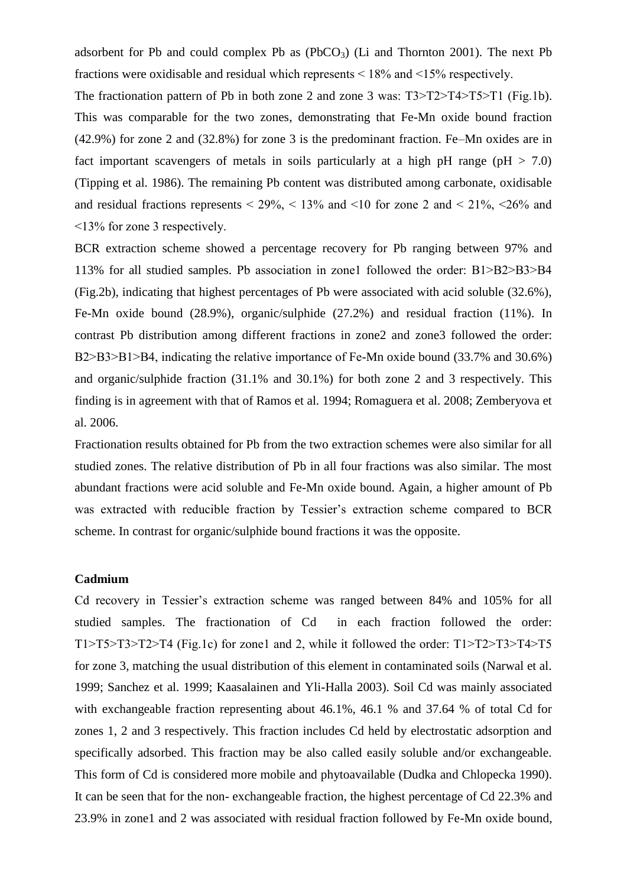adsorbent for Pb and could complex Pb as  $(PbCO<sub>3</sub>)$  (Li and Thornton 2001). The next Pb fractions were oxidisable and residual which represents  $\leq 18\%$  and  $\leq 15\%$  respectively.

The fractionation pattern of Pb in both zone 2 and zone 3 was:  $T3 > T2 > T4 > T5 > T1$  (Fig.1b). This was comparable for the two zones, demonstrating that Fe-Mn oxide bound fraction (42.9%) for zone 2 and (32.8%) for zone 3 is the predominant fraction. Fe–Mn oxides are in fact important scavengers of metals in soils particularly at a high pH range ( $pH > 7.0$ ) (Tipping et al. 1986). The remaining Pb content was distributed among carbonate, oxidisable and residual fractions represents  $\lt 29\%$ ,  $\lt 13\%$  and  $\lt 10$  for zone 2 and  $\lt 21\%$ ,  $\lt 26\%$  and ޒ13% for zone 3 respectively.

BCR extraction scheme showed a percentage recovery for Pb ranging between 97% and 113% for all studied samples. Pb association in zone1 followed the order: B1>B2>B3>B4 (Fig.2b), indicating that highest percentages of Pb were associated with acid soluble (32.6%), Fe-Mn oxide bound (28.9%), organic/sulphide (27.2%) and residual fraction (11%). In contrast Pb distribution among different fractions in zone2 and zone3 followed the order: B2>B3>B1>B4, indicating the relative importance of Fe-Mn oxide bound (33.7% and 30.6%) and organic/sulphide fraction (31.1% and 30.1%) for both zone 2 and 3 respectively. This finding is in agreement with that of Ramos et al. 1994; Romaguera et al. 2008; Zemberyova et al. 2006.

Fractionation results obtained for Pb from the two extraction schemes were also similar for all studied zones. The relative distribution of Pb in all four fractions was also similar. The most abundant fractions were acid soluble and Fe-Mn oxide bound. Again, a higher amount of Pb was extracted with reducible fraction by Tessier's extraction scheme compared to BCR scheme. In contrast for organic/sulphide bound fractions it was the opposite.

#### **Cadmium**

Cd recovery in Tessier's extraction scheme was ranged between 84% and 105% for all studied samples. The fractionation of Cd in each fraction followed the order:  $T1 > T5 > T3 > T2 > T4$  (Fig.1c) for zone1 and 2, while it followed the order:  $T1 > T2 > T3 > T4 > T5$ for zone 3, matching the usual distribution of this element in contaminated soils (Narwal et al. 1999; Sanchez et al. 1999; Kaasalainen and Yli-Halla 2003). Soil Cd was mainly associated with exchangeable fraction representing about 46.1%, 46.1 % and 37.64 % of total Cd for zones 1, 2 and 3 respectively. This fraction includes Cd held by electrostatic adsorption and specifically adsorbed. This fraction may be also called easily soluble and/or exchangeable. This form of Cd is considered more mobile and phytoavailable (Dudka and Chlopecka 1990). It can be seen that for the non- exchangeable fraction, the highest percentage of Cd 22.3% and 23.9% in zone1 and 2 was associated with residual fraction followed by Fe-Mn oxide bound,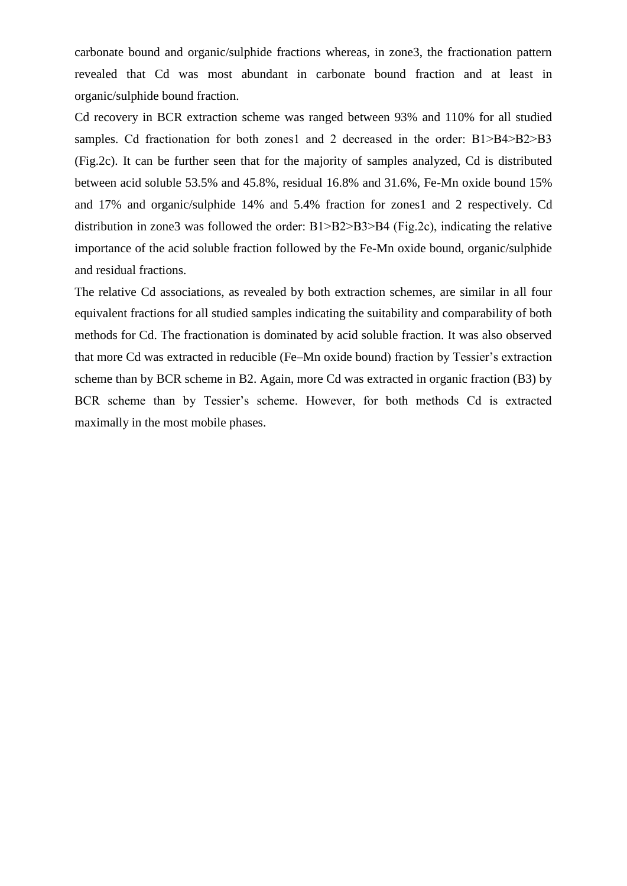carbonate bound and organic/sulphide fractions whereas, in zone3, the fractionation pattern revealed that Cd was most abundant in carbonate bound fraction and at least in organic/sulphide bound fraction.

Cd recovery in BCR extraction scheme was ranged between 93% and 110% for all studied samples. Cd fractionation for both zones1 and 2 decreased in the order: B1>B4>B2>B3 (Fig.2c). It can be further seen that for the majority of samples analyzed, Cd is distributed between acid soluble 53.5% and 45.8%, residual 16.8% and 31.6%, Fe-Mn oxide bound 15% and 17% and organic/sulphide 14% and 5.4% fraction for zones1 and 2 respectively. Cd distribution in zone3 was followed the order:  $B1 > B2 > B3 > B4$  (Fig.2c), indicating the relative importance of the acid soluble fraction followed by the Fe-Mn oxide bound, organic/sulphide and residual fractions.

The relative Cd associations, as revealed by both extraction schemes, are similar in all four equivalent fractions for all studied samples indicating the suitability and comparability of both methods for Cd. The fractionation is dominated by acid soluble fraction. It was also observed that more Cd was extracted in reducible (Fe–Mn oxide bound) fraction by Tessier's extraction scheme than by BCR scheme in B2. Again, more Cd was extracted in organic fraction (B3) by BCR scheme than by Tessier's scheme. However, for both methods Cd is extracted maximally in the most mobile phases.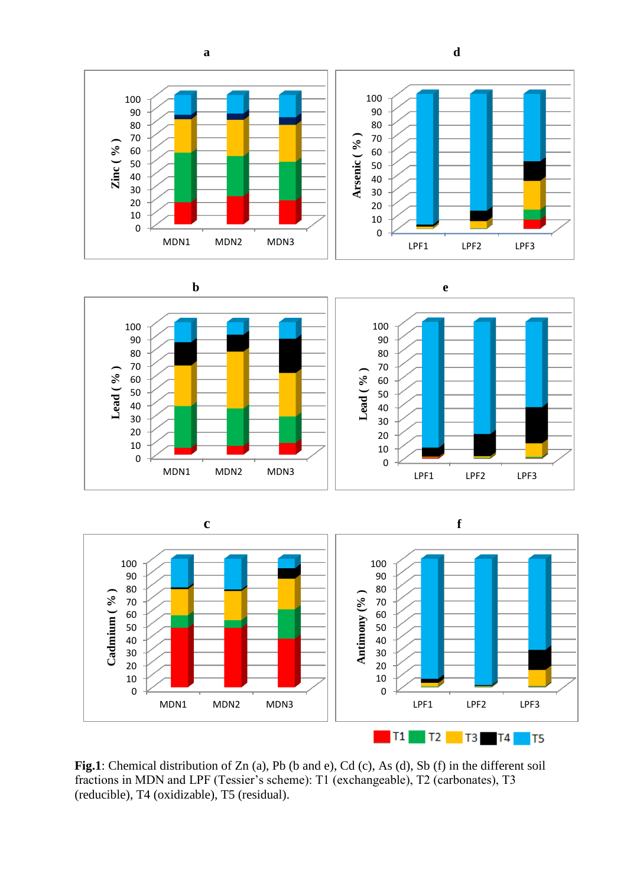







**Fig.1**: Chemical distribution of Zn (a), Pb (b and e), Cd (c), As (d), Sb (f) in the different soil fractions in MDN and LPF (Tessier's scheme): T1 (exchangeable), T2 (carbonates), T3 (reducible), T4 (oxidizable), T5 (residual).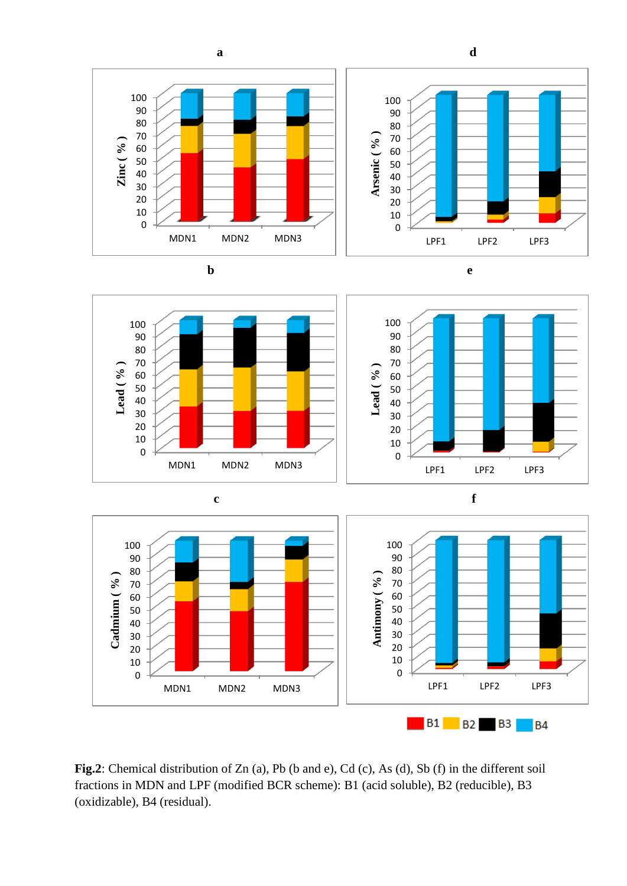





**Fig.2**: Chemical distribution of Zn (a), Pb (b and e), Cd (c), As (d), Sb (f) in the different soil fractions in MDN and LPF (modified BCR scheme): B1 (acid soluble), B2 (reducible), B3 (oxidizable), B4 (residual).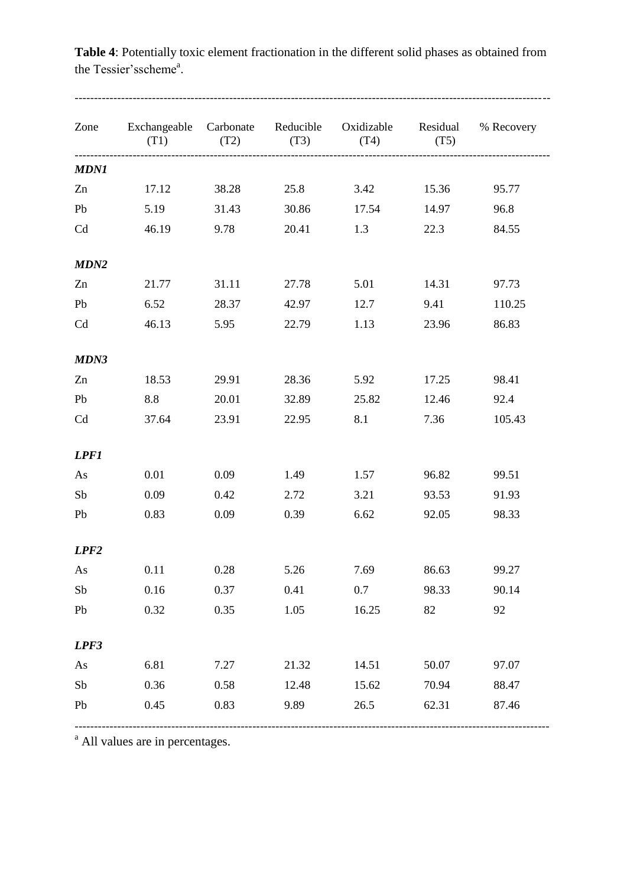| Zone                   | Exchangeable Carbonate Reducible Oxidizable<br>(T1) | (T2)  | (T3)  | (T4)  | Residual<br>(T5) | % Recovery |
|------------------------|-----------------------------------------------------|-------|-------|-------|------------------|------------|
| <b>MDN1</b>            |                                                     |       |       |       |                  |            |
| Zn                     | 17.12                                               | 38.28 | 25.8  | 3.42  | 15.36            | 95.77      |
| Pb                     | 5.19                                                | 31.43 | 30.86 | 17.54 | 14.97            | 96.8       |
| Cd                     | 46.19                                               | 9.78  | 20.41 | 1.3   | 22.3             | 84.55      |
| MDN2                   |                                                     |       |       |       |                  |            |
| Zn                     | 21.77                                               | 31.11 | 27.78 | 5.01  | 14.31            | 97.73      |
| ${\rm Pb}$             | 6.52                                                | 28.37 | 42.97 | 12.7  | 9.41             | 110.25     |
| Cd                     | 46.13                                               | 5.95  | 22.79 | 1.13  | 23.96            | 86.83      |
| MDN3                   |                                                     |       |       |       |                  |            |
| Zn                     | 18.53                                               | 29.91 | 28.36 | 5.92  | 17.25            | 98.41      |
| Pb                     | 8.8                                                 | 20.01 | 32.89 | 25.82 | 12.46            | 92.4       |
| Cd                     | 37.64                                               | 23.91 | 22.95 | 8.1   | 7.36             | 105.43     |
| <b>LPF1</b>            |                                                     |       |       |       |                  |            |
| As                     | 0.01                                                | 0.09  | 1.49  | 1.57  | 96.82            | 99.51      |
| Sb                     | 0.09                                                | 0.42  | 2.72  | 3.21  | 93.53            | 91.93      |
| Pb                     | 0.83                                                | 0.09  | 0.39  | 6.62  | 92.05            | 98.33      |
| LPF2                   |                                                     |       |       |       |                  |            |
| $\mathbf{A}\mathbf{s}$ | 0.11                                                | 0.28  | 5.26  | 7.69  | 86.63            | 99.27      |
| Sb                     | 0.16                                                | 0.37  | 0.41  | 0.7   | 98.33            | 90.14      |
| Pb                     | 0.32                                                | 0.35  | 1.05  | 16.25 | 82               | 92         |
| LPF3                   |                                                     |       |       |       |                  |            |
| As                     | 6.81                                                | 7.27  | 21.32 | 14.51 | 50.07            | 97.07      |
| Sb                     | 0.36                                                | 0.58  | 12.48 | 15.62 | 70.94            | 88.47      |
| Pb                     | 0.45                                                | 0.83  | 9.89  | 26.5  | 62.31            | 87.46      |

**Table 4**: Potentially toxic element fractionation in the different solid phases as obtained from the Tessier's scheme<sup>a</sup>.

<sup>a</sup> All values are in percentages.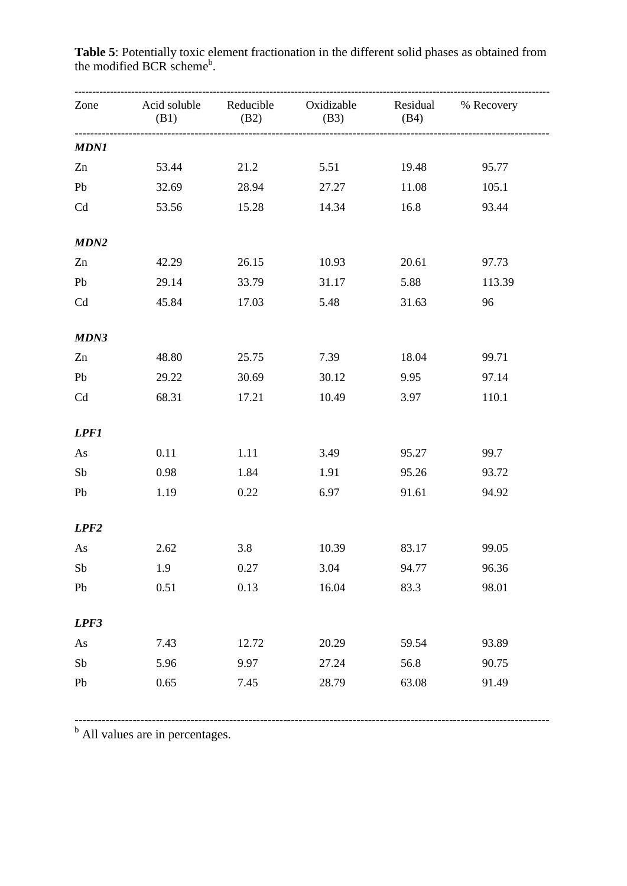| Zone                       | (B1)  | --------------<br>Acid soluble Reducible Oxidizable<br>(B2) | ---------------<br>(B3) | Residual<br>(B4) | % Recovery |
|----------------------------|-------|-------------------------------------------------------------|-------------------------|------------------|------------|
| <b>MDN1</b>                |       |                                                             |                         |                  |            |
| Zn                         | 53.44 | 21.2                                                        | 5.51                    | 19.48            | 95.77      |
| Pb                         | 32.69 | 28.94                                                       | 27.27                   | 11.08            | 105.1      |
| Cd                         | 53.56 | 15.28                                                       | 14.34                   | 16.8             | 93.44      |
| MDN2                       |       |                                                             |                         |                  |            |
| Zn                         | 42.29 | 26.15                                                       | 10.93                   | 20.61            | 97.73      |
| ${\rm Pb}$                 | 29.14 | 33.79                                                       | 31.17                   | 5.88             | 113.39     |
| $\ensuremath{\mathrm{Cd}}$ | 45.84 | 17.03                                                       | 5.48                    | 31.63            | 96         |
| MDN3                       |       |                                                             |                         |                  |            |
| Zn                         | 48.80 | 25.75                                                       | 7.39                    | 18.04            | 99.71      |
| Pb                         | 29.22 | 30.69                                                       | 30.12                   | 9.95             | 97.14      |
| Cd                         | 68.31 | 17.21                                                       | 10.49                   | 3.97             | 110.1      |
| <b>LPF1</b>                |       |                                                             |                         |                  |            |
| As                         | 0.11  | 1.11                                                        | 3.49                    | 95.27            | 99.7       |
| Sb                         | 0.98  | 1.84                                                        | 1.91                    | 95.26            | 93.72      |
| Pb                         | 1.19  | 0.22                                                        | 6.97                    | 91.61            | 94.92      |
| LPF2                       |       |                                                             |                         |                  |            |
| As                         | 2.62  | 3.8                                                         | 10.39                   | 83.17            | 99.05      |
| Sb                         | 1.9   | 0.27                                                        | 3.04                    | 94.77            | 96.36      |
| Pb                         | 0.51  | 0.13                                                        | 16.04                   | 83.3             | 98.01      |
| LPF3                       |       |                                                             |                         |                  |            |
| As                         | 7.43  | 12.72                                                       | 20.29                   | 59.54            | 93.89      |
| Sb                         | 5.96  | 9.97                                                        | 27.24                   | 56.8             | 90.75      |
| Pb                         | 0.65  | 7.45                                                        | 28.79                   | 63.08            | 91.49      |
|                            |       |                                                             |                         |                  |            |

**Table 5**: Potentially toxic element fractionation in the different solid phases as obtained from the modified BCR scheme<sup>b</sup>.

<sup>b</sup> All values are in percentages.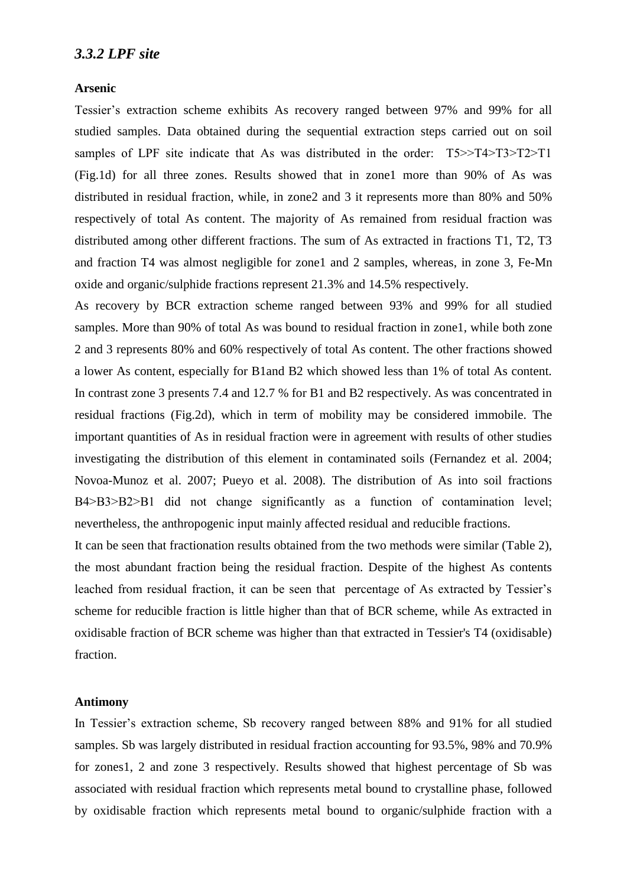### *3.3.2 LPF site*

#### **Arsenic**

Tessier's extraction scheme exhibits As recovery ranged between 97% and 99% for all studied samples. Data obtained during the sequential extraction steps carried out on soil samples of LPF site indicate that As was distributed in the order:  $T5 \geq T4 \geq T2 \geq T1$ (Fig.1d) for all three zones. Results showed that in zone1 more than 90% of As was distributed in residual fraction, while, in zone2 and 3 it represents more than 80% and 50% respectively of total As content. The majority of As remained from residual fraction was distributed among other different fractions. The sum of As extracted in fractions T1, T2, T3 and fraction T4 was almost negligible for zone1 and 2 samples, whereas, in zone 3, Fe-Mn oxide and organic/sulphide fractions represent 21.3% and 14.5% respectively.

As recovery by BCR extraction scheme ranged between 93% and 99% for all studied samples. More than 90% of total As was bound to residual fraction in zone1, while both zone 2 and 3 represents 80% and 60% respectively of total As content. The other fractions showed a lower As content, especially for B1and B2 which showed less than 1% of total As content. In contrast zone 3 presents 7.4 and 12.7 % for B1 and B2 respectively. As was concentrated in residual fractions (Fig.2d), which in term of mobility may be considered immobile. The important quantities of As in residual fraction were in agreement with results of other studies investigating the distribution of this element in contaminated soils (Fernandez et al. 2004; Novoa-Munoz et al. 2007; Pueyo et al. 2008). The distribution of As into soil fractions B4>B3>B2>B1 did not change significantly as a function of contamination level; nevertheless, the anthropogenic input mainly affected residual and reducible fractions.

It can be seen that fractionation results obtained from the two methods were similar (Table 2), the most abundant fraction being the residual fraction. Despite of the highest As contents leached from residual fraction, it can be seen that percentage of As extracted by Tessier's scheme for reducible fraction is little higher than that of BCR scheme, while As extracted in oxidisable fraction of BCR scheme was higher than that extracted in Tessier's T4 (oxidisable) fraction.

#### **Antimony**

In Tessier's extraction scheme, Sb recovery ranged between 88% and 91% for all studied samples. Sb was largely distributed in residual fraction accounting for 93.5%, 98% and 70.9% for zones1, 2 and zone 3 respectively. Results showed that highest percentage of Sb was associated with residual fraction which represents metal bound to crystalline phase, followed by oxidisable fraction which represents metal bound to organic/sulphide fraction with a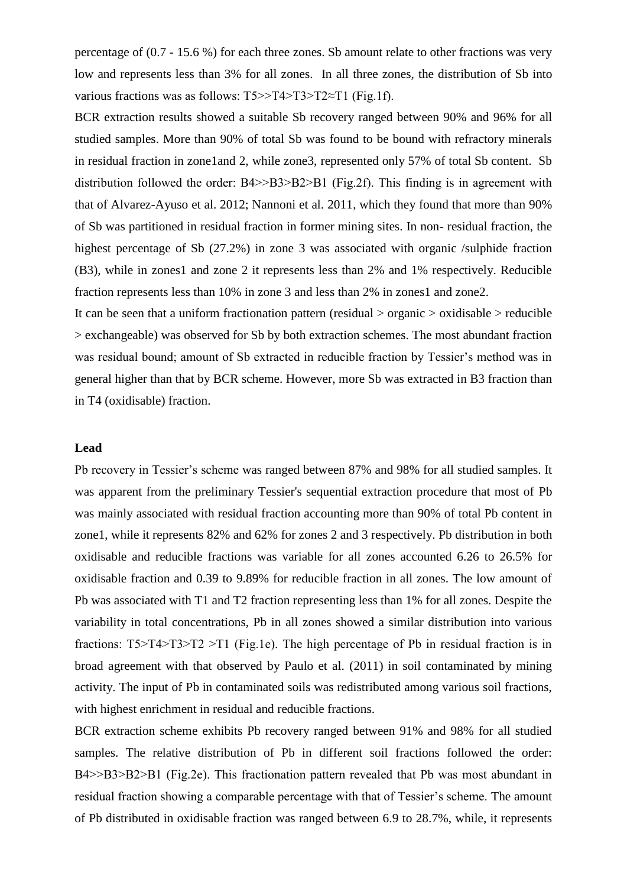percentage of (0.7 - 15.6 %) for each three zones. Sb amount relate to other fractions was very low and represents less than 3% for all zones. In all three zones, the distribution of Sb into various fractions was as follows:  $T5 \geq T4 \geq T3 \geq T1$  (Fig.1f).

BCR extraction results showed a suitable Sb recovery ranged between 90% and 96% for all studied samples. More than 90% of total Sb was found to be bound with refractory minerals in residual fraction in zone1and 2, while zone3, represented only 57% of total Sb content. Sb distribution followed the order:  $B4>>B3>B2>B1$  (Fig.2f). This finding is in agreement with that of Alvarez-Ayuso et al. 2012; Nannoni et al. 2011, which they found that more than 90% of Sb was partitioned in residual fraction in former mining sites. In non- residual fraction, the highest percentage of Sb (27.2%) in zone 3 was associated with organic /sulphide fraction (B3), while in zones1 and zone 2 it represents less than 2% and 1% respectively. Reducible fraction represents less than 10% in zone 3 and less than 2% in zones1 and zone2.

It can be seen that a uniform fractionation pattern (residual > organic > oxidisable > reducible > exchangeable) was observed for Sb by both extraction schemes. The most abundant fraction was residual bound; amount of Sb extracted in reducible fraction by Tessier's method was in general higher than that by BCR scheme. However, more Sb was extracted in B3 fraction than in T4 (oxidisable) fraction.

#### **Lead**

Pb recovery in Tessier's scheme was ranged between 87% and 98% for all studied samples. It was apparent from the preliminary Tessier's sequential extraction procedure that most of Pb was mainly associated with residual fraction accounting more than 90% of total Pb content in zone1, while it represents 82% and 62% for zones 2 and 3 respectively. Pb distribution in both oxidisable and reducible fractions was variable for all zones accounted 6.26 to 26.5% for oxidisable fraction and 0.39 to 9.89% for reducible fraction in all zones. The low amount of Pb was associated with T1 and T2 fraction representing less than 1% for all zones. Despite the variability in total concentrations, Pb in all zones showed a similar distribution into various fractions:  $T5 > T4 > T3 > T1$  (Fig.1e). The high percentage of Pb in residual fraction is in broad agreement with that observed by Paulo et al. (2011) in soil contaminated by mining activity. The input of Pb in contaminated soils was redistributed among various soil fractions, with highest enrichment in residual and reducible fractions.

BCR extraction scheme exhibits Pb recovery ranged between 91% and 98% for all studied samples. The relative distribution of Pb in different soil fractions followed the order: B4 >> B3 > B2 > B1 (Fig.2e). This fractionation pattern revealed that Pb was most abundant in residual fraction showing a comparable percentage with that of Tessier's scheme. The amount of Pb distributed in oxidisable fraction was ranged between 6.9 to 28.7%, while, it represents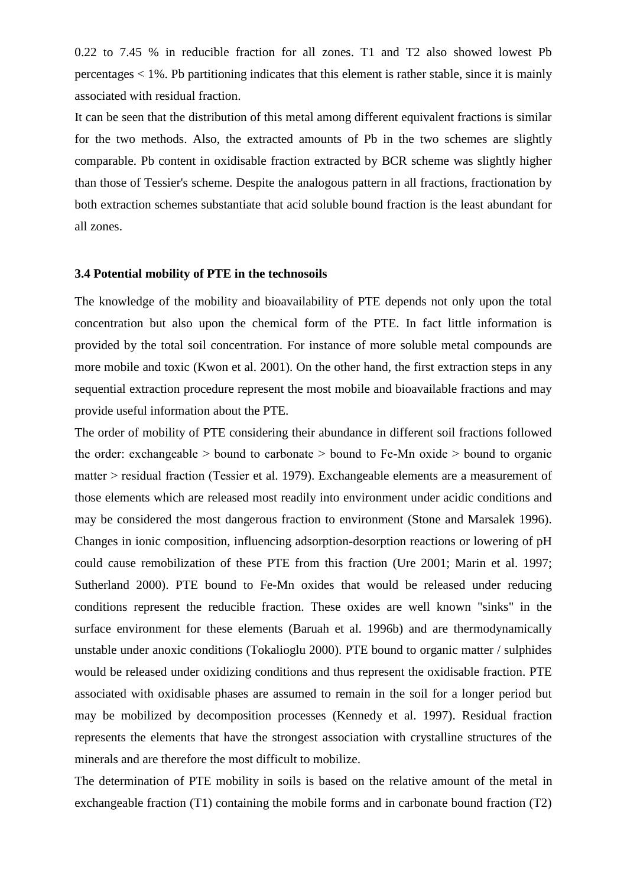0.22 to 7.45 % in reducible fraction for all zones. T1 and T2 also showed lowest Pb percentages  $<$  1%. Pb partitioning indicates that this element is rather stable, since it is mainly associated with residual fraction.

It can be seen that the distribution of this metal among different equivalent fractions is similar for the two methods. Also, the extracted amounts of Pb in the two schemes are slightly comparable. Pb content in oxidisable fraction extracted by BCR scheme was slightly higher than those of Tessier's scheme. Despite the analogous pattern in all fractions, fractionation by both extraction schemes substantiate that acid soluble bound fraction is the least abundant for all zones.

#### **3.4 Potential mobility of PTE in the technosoils**

The knowledge of the mobility and bioavailability of PTE depends not only upon the total concentration but also upon the chemical form of the PTE. In fact little information is provided by the total soil concentration. For instance of more soluble metal compounds are more mobile and toxic (Kwon et al. 2001). On the other hand, the first extraction steps in any sequential extraction procedure represent the most mobile and bioavailable fractions and may provide useful information about the PTE.

The order of mobility of PTE considering their abundance in different soil fractions followed the order: exchangeable  $>$  bound to carbonate  $>$  bound to Fe-Mn oxide  $>$  bound to organic matter > residual fraction (Tessier et al. 1979). Exchangeable elements are a measurement of those elements which are released most readily into environment under acidic conditions and may be considered the most dangerous fraction to environment (Stone and Marsalek 1996). Changes in ionic composition, influencing adsorption-desorption reactions or lowering of pH could cause remobilization of these PTE from this fraction (Ure 2001; Marin et al. 1997; Sutherland 2000). PTE bound to Fe-Mn oxides that would be released under reducing conditions represent the reducible fraction. These oxides are well known "sinks" in the surface environment for these elements (Baruah et al. 1996b) and are thermodynamically unstable under anoxic conditions (Tokalioglu 2000). PTE bound to organic matter / sulphides would be released under oxidizing conditions and thus represent the oxidisable fraction. PTE associated with oxidisable phases are assumed to remain in the soil for a longer period but may be mobilized by decomposition processes (Kennedy et al. 1997). Residual fraction represents the elements that have the strongest association with crystalline structures of the minerals and are therefore the most difficult to mobilize.

The determination of PTE mobility in soils is based on the relative amount of the metal in exchangeable fraction (T1) containing the mobile forms and in carbonate bound fraction (T2)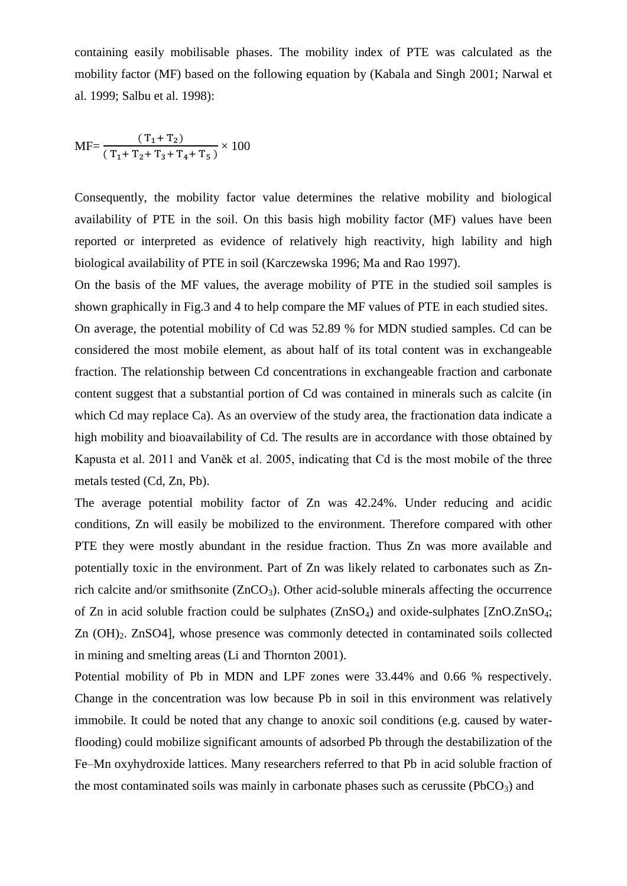containing easily mobilisable phases. The mobility index of PTE was calculated as the mobility factor (MF) based on the following equation by (Kabala and Singh 2001; Narwal et al. 1999; Salbu et al. 1998):

$$
MF = \frac{(T_1 + T_2)}{(T_1 + T_2 + T_3 + T_4 + T_5)} \times 100
$$

Consequently, the mobility factor value determines the relative mobility and biological availability of PTE in the soil. On this basis high mobility factor (MF) values have been reported or interpreted as evidence of relatively high reactivity, high lability and high biological availability of PTE in soil (Karczewska 1996; Ma and Rao 1997).

On the basis of the MF values, the average mobility of PTE in the studied soil samples is shown graphically in Fig.3 and 4 to help compare the MF values of PTE in each studied sites.

On average, the potential mobility of Cd was 52.89 % for MDN studied samples. Cd can be considered the most mobile element, as about half of its total content was in exchangeable fraction. The relationship between Cd concentrations in exchangeable fraction and carbonate content suggest that a substantial portion of Cd was contained in minerals such as calcite (in which Cd may replace Ca). As an overview of the study area, the fractionation data indicate a high mobility and bioavailability of Cd. The results are in accordance with those obtained by Kapusta et al. 2011 and Vaněk et al. 2005, indicating that Cd is the most mobile of the three metals tested (Cd, Zn, Pb).

The average potential mobility factor of Zn was 42.24%. Under reducing and acidic conditions, Zn will easily be mobilized to the environment. Therefore compared with other PTE they were mostly abundant in the residue fraction. Thus Zn was more available and potentially toxic in the environment. Part of Zn was likely related to carbonates such as Znrich calcite and/or smithsonite  $(ZnCO<sub>3</sub>)$ . Other acid-soluble minerals affecting the occurrence of Zn in acid soluble fraction could be sulphates  $(ZnSO<sub>4</sub>)$  and oxide-sulphates  $[ZnO.ZnSO<sub>4</sub>;$ Zn (OH)<sub>2</sub>. ZnSO4], whose presence was commonly detected in contaminated soils collected in mining and smelting areas (Li and Thornton 2001).

Potential mobility of Pb in MDN and LPF zones were 33.44% and 0.66 % respectively. Change in the concentration was low because Pb in soil in this environment was relatively immobile. It could be noted that any change to anoxic soil conditions (e.g. caused by waterflooding) could mobilize significant amounts of adsorbed Pb through the destabilization of the Fe–Mn oxyhydroxide lattices. Many researchers referred to that Pb in acid soluble fraction of the most contaminated soils was mainly in carbonate phases such as cerussite  $(PbCO<sub>3</sub>)$  and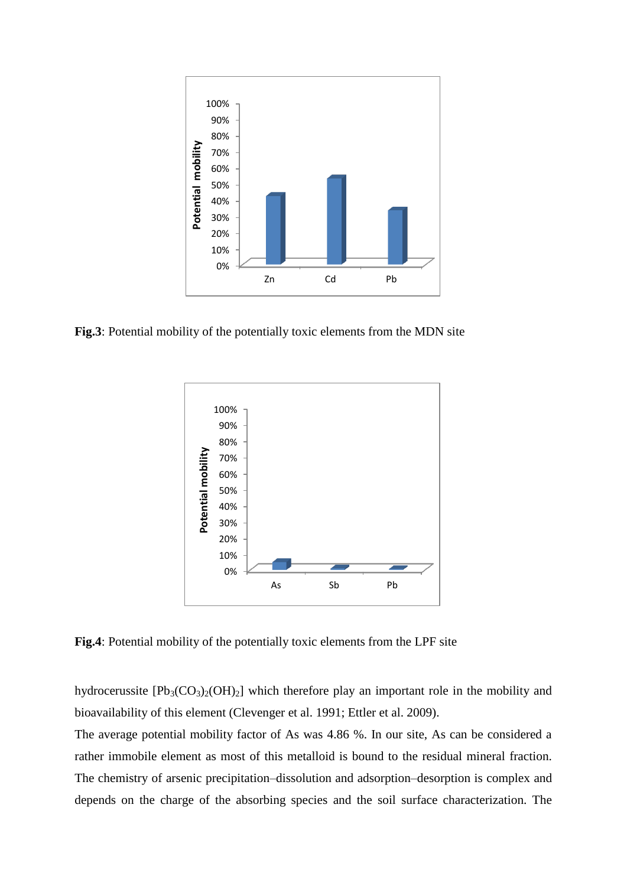

**Fig.3**: Potential mobility of the potentially toxic elements from the MDN site



**Fig.4**: Potential mobility of the potentially toxic elements from the LPF site

hydrocerussite  $[Pb_3(CO_3)_2(OH)_2]$  which therefore play an important role in the mobility and bioavailability of this element (Clevenger et al. 1991; Ettler et al. 2009).

The average potential mobility factor of As was 4.86 %. In our site, As can be considered a rather immobile element as most of this metalloid is bound to the residual mineral fraction. The chemistry of arsenic precipitation–dissolution and adsorption–desorption is complex and depends on the charge of the absorbing species and the soil surface characterization. The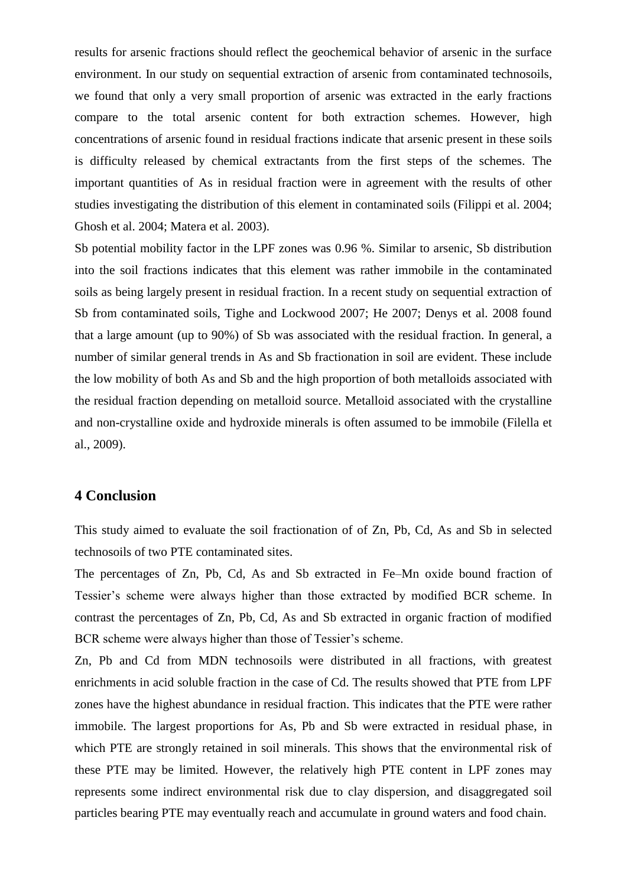results for arsenic fractions should reflect the geochemical behavior of arsenic in the surface environment. In our study on sequential extraction of arsenic from contaminated technosoils, we found that only a very small proportion of arsenic was extracted in the early fractions compare to the total arsenic content for both extraction schemes. However, high concentrations of arsenic found in residual fractions indicate that arsenic present in these soils is difficulty released by chemical extractants from the first steps of the schemes. The important quantities of As in residual fraction were in agreement with the results of other studies investigating the distribution of this element in contaminated soils (Filippi et al. 2004; Ghosh et al. 2004; Matera et al. 2003).

Sb potential mobility factor in the LPF zones was 0.96 %. Similar to arsenic, Sb distribution into the soil fractions indicates that this element was rather immobile in the contaminated soils as being largely present in residual fraction. In a recent study on sequential extraction of Sb from contaminated soils, Tighe and Lockwood 2007; He 2007; Denys et al. 2008 found that a large amount (up to 90%) of Sb was associated with the residual fraction. In general, a number of similar general trends in As and Sb fractionation in soil are evident. These include the low mobility of both As and Sb and the high proportion of both metalloids associated with the residual fraction depending on metalloid source. Metalloid associated with the crystalline and non-crystalline oxide and hydroxide minerals is often assumed to be immobile (Filella et al., 2009).

## **4 Conclusion**

This study aimed to evaluate the soil fractionation of of Zn, Pb, Cd, As and Sb in selected technosoils of two PTE contaminated sites.

The percentages of Zn, Pb, Cd, As and Sb extracted in Fe–Mn oxide bound fraction of Tessier's scheme were always higher than those extracted by modified BCR scheme. In contrast the percentages of Zn, Pb, Cd, As and Sb extracted in organic fraction of modified BCR scheme were always higher than those of Tessier's scheme.

Zn, Pb and Cd from MDN technosoils were distributed in all fractions, with greatest enrichments in acid soluble fraction in the case of Cd. The results showed that PTE from LPF zones have the highest abundance in residual fraction. This indicates that the PTE were rather immobile. The largest proportions for As, Pb and Sb were extracted in residual phase, in which PTE are strongly retained in soil minerals. This shows that the environmental risk of these PTE may be limited. However, the relatively high PTE content in LPF zones may represents some indirect environmental risk due to clay dispersion, and disaggregated soil particles bearing PTE may eventually reach and accumulate in ground waters and food chain.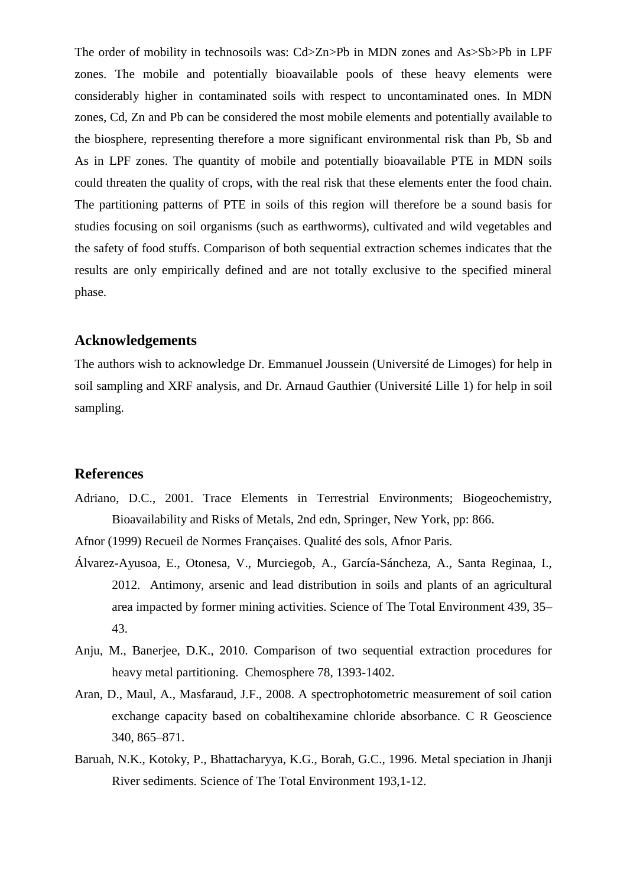The order of mobility in technosoils was: Cd>Zn>Pb in MDN zones and As>Sb>Pb in LPF zones. The mobile and potentially bioavailable pools of these heavy elements were considerably higher in contaminated soils with respect to uncontaminated ones. In MDN zones, Cd, Zn and Pb can be considered the most mobile elements and potentially available to the biosphere, representing therefore a more significant environmental risk than Pb, Sb and As in LPF zones. The quantity of mobile and potentially bioavailable PTE in MDN soils could threaten the quality of crops, with the real risk that these elements enter the food chain. The partitioning patterns of PTE in soils of this region will therefore be a sound basis for studies focusing on soil organisms (such as earthworms), cultivated and wild vegetables and the safety of food stuffs. Comparison of both sequential extraction schemes indicates that the results are only empirically defined and are not totally exclusive to the specified mineral phase.

## **Acknowledgements**

The authors wish to acknowledge Dr. Emmanuel Joussein (Université de Limoges) for help in soil sampling and XRF analysis, and Dr. Arnaud Gauthier (Université Lille 1) for help in soil sampling.

# **References**

Adriano, D.C., 2001. Trace Elements in Terrestrial Environments; Biogeochemistry, Bioavailability and Risks of Metals, 2nd edn, Springer, New York, pp: 866.

Afnor (1999) Recueil de Normes Françaises. Qualité des sols, Afnor Paris.

- Álvarez-Ayusoa, E., Otonesa, V., Murciegob, A., García-Sáncheza, A., Santa Reginaa, I., 2012. Antimony, arsenic and lead distribution in soils and plants of an agricultural area impacted by former mining activities. Science of The Total Environment 439, 35– 43.
- Anju, M., Banerjee, D.K., 2010. Comparison of two sequential extraction procedures for heavy metal partitioning. Chemosphere 78, 1393-1402.
- Aran, D., Maul, A., Masfaraud, J.F., 2008. A spectrophotometric measurement of soil cation exchange capacity based on cobaltihexamine chloride absorbance. C R Geoscience 340, 865–871.
- Baruah, N.K., Kotoky, P., Bhattacharyya, K.G., Borah, G.C., 1996. Metal speciation in Jhanji River sediments. Science of The Total Environment 193,1-12.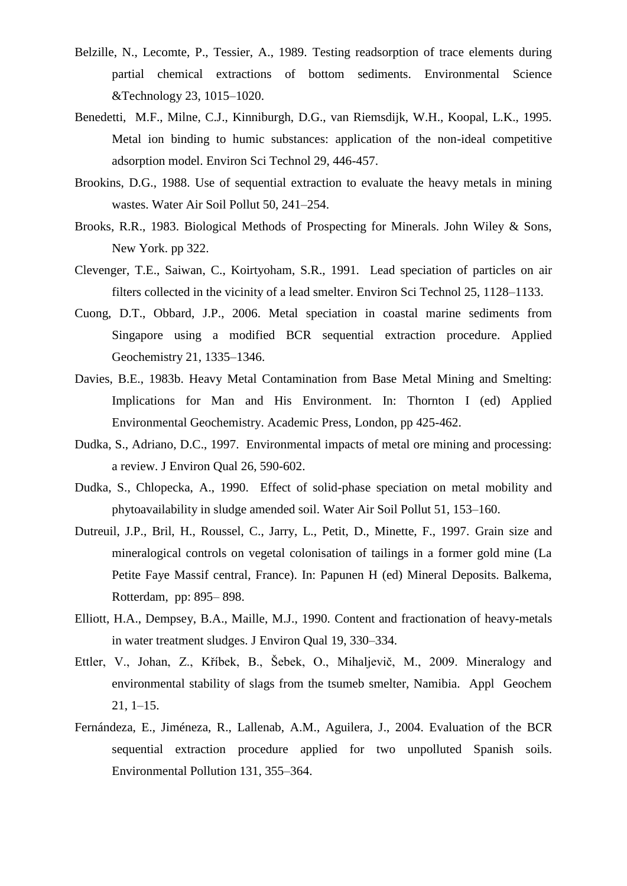- Belzille, N., Lecomte, P., Tessier, A., 1989. Testing readsorption of trace elements during partial chemical extractions of bottom sediments. Environmental Science &Technology 23, 1015–1020.
- Benedetti, M.F., Milne, C.J., Kinniburgh, D.G., van Riemsdijk, W.H., Koopal, L.K., 1995. Metal ion binding to humic substances: application of the non-ideal competitive adsorption model. Environ Sci Technol 29, 446-457.
- Brookins, D.G., 1988. Use of sequential extraction to evaluate the heavy metals in mining wastes. Water Air Soil Pollut 50, 241–254.
- Brooks, R.R., 1983. Biological Methods of Prospecting for Minerals. John Wiley & Sons, New York. pp 322.
- Clevenger, T.E., Saiwan, C., Koirtyoham, S.R., 1991. Lead speciation of particles on air filters collected in the vicinity of a lead smelter. Environ Sci Technol 25, 1128–1133.
- Cuong, D.T., Obbard, J.P., 2006. Metal speciation in coastal marine sediments from Singapore using a modified BCR sequential extraction procedure. Applied Geochemistry 21, 1335–1346.
- Davies, B.E., 1983b. Heavy Metal Contamination from Base Metal Mining and Smelting: Implications for Man and His Environment. In: Thornton I (ed) Applied Environmental Geochemistry. Academic Press, London, pp 425-462.
- Dudka, S., Adriano, D.C., 1997. Environmental impacts of metal ore mining and processing: a review. J Environ Qual 26, 590-602.
- Dudka, S., Chlopecka, A., 1990. Effect of solid-phase speciation on metal mobility and phytoavailability in sludge amended soil. Water Air Soil Pollut 51, 153–160.
- Dutreuil, J.P., Bril, H., Roussel, C., Jarry, L., Petit, D., Minette, F., 1997. Grain size and mineralogical controls on vegetal colonisation of tailings in a former gold mine (La Petite Faye Massif central, France). In: Papunen H (ed) Mineral Deposits. Balkema, Rotterdam, pp: 895– 898.
- Elliott, H.A., Dempsey, B.A., Maille, M.J., 1990. Content and fractionation of heavy-metals in water treatment sludges. J Environ Qual 19, 330–334.
- Ettler, V., Johan, Z., Kříbek, B., Šebek, O., Mihaljevič, M., 2009. Mineralogy and environmental stability of slags from the tsumeb smelter, Namibia. Appl Geochem 21, 1–15.
- Fernándeza, E., Jiméneza, R., Lallenab, A.M., Aguilera, J., 2004. Evaluation of the BCR sequential extraction procedure applied for two unpolluted Spanish soils. Environmental Pollution 131, 355–364.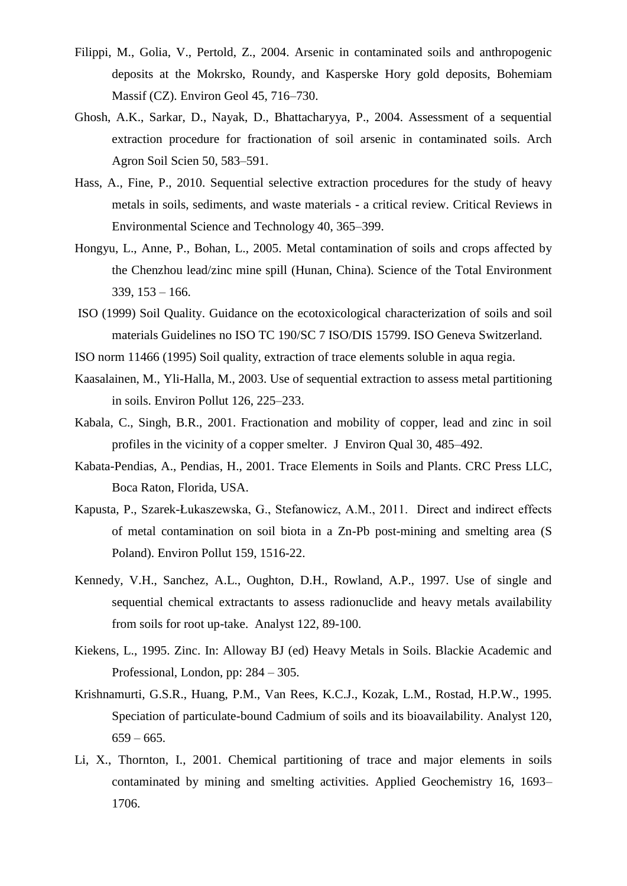- Filippi, M., Golia, V., Pertold, Z., 2004. Arsenic in contaminated soils and anthropogenic deposits at the Mokrsko, Roundy, and Kasperske Hory gold deposits, Bohemiam Massif (CZ). Environ Geol 45, 716–730.
- Ghosh, A.K., Sarkar, D., Nayak, D., Bhattacharyya, P., 2004. Assessment of a sequential extraction procedure for fractionation of soil arsenic in contaminated soils. Arch Agron Soil Scien 50, 583–591.
- Hass, A., Fine, P., 2010. Sequential selective extraction procedures for the study of heavy metals in soils, sediments, and waste materials - a critical review. Critical Reviews in Environmental Science and Technology 40, 365–399.
- Hongyu, L., Anne, P., Bohan, L., 2005. Metal contamination of soils and crops affected by the Chenzhou lead/zinc mine spill (Hunan, China). Science of the Total Environment  $339, 153 - 166.$
- ISO (1999) Soil Quality. Guidance on the ecotoxicological characterization of soils and soil materials Guidelines no ISO TC 190/SC 7 ISO/DIS 15799. ISO Geneva Switzerland.
- ISO norm 11466 (1995) Soil quality, extraction of trace elements soluble in aqua regia.
- Kaasalainen, M., Yli-Halla, M., 2003. Use of sequential extraction to assess metal partitioning in soils. Environ Pollut 126, 225–233.
- Kabala, C., Singh, B.R., 2001. Fractionation and mobility of copper, lead and zinc in soil profiles in the vicinity of a copper smelter. J Environ Qual 30, 485–492.
- Kabata-Pendias, A., Pendias, H., 2001. Trace Elements in Soils and Plants. CRC Press LLC, Boca Raton, Florida, USA.
- Kapusta, P., Szarek-Łukaszewska, G., Stefanowicz, A.M., 2011. Direct and indirect effects of metal contamination on soil biota in a Zn-Pb post-mining and smelting area (S Poland). Environ Pollut 159, 1516-22.
- Kennedy, V.H., Sanchez, A.L., Oughton, D.H., Rowland, A.P., 1997. Use of single and sequential chemical extractants to assess radionuclide and heavy metals availability from soils for root up-take. Analyst 122, 89-100.
- Kiekens, L., 1995. Zinc. In: Alloway BJ (ed) Heavy Metals in Soils. Blackie Academic and Professional, London, pp: 284 – 305.
- Krishnamurti, G.S.R., Huang, P.M., Van Rees, K.C.J., Kozak, L.M., Rostad, H.P.W., 1995. Speciation of particulate-bound Cadmium of soils and its bioavailability. Analyst 120,  $659 - 665.$
- Li, X., Thornton, I., 2001. Chemical partitioning of trace and major elements in soils contaminated by mining and smelting activities. Applied Geochemistry 16, 1693– 1706.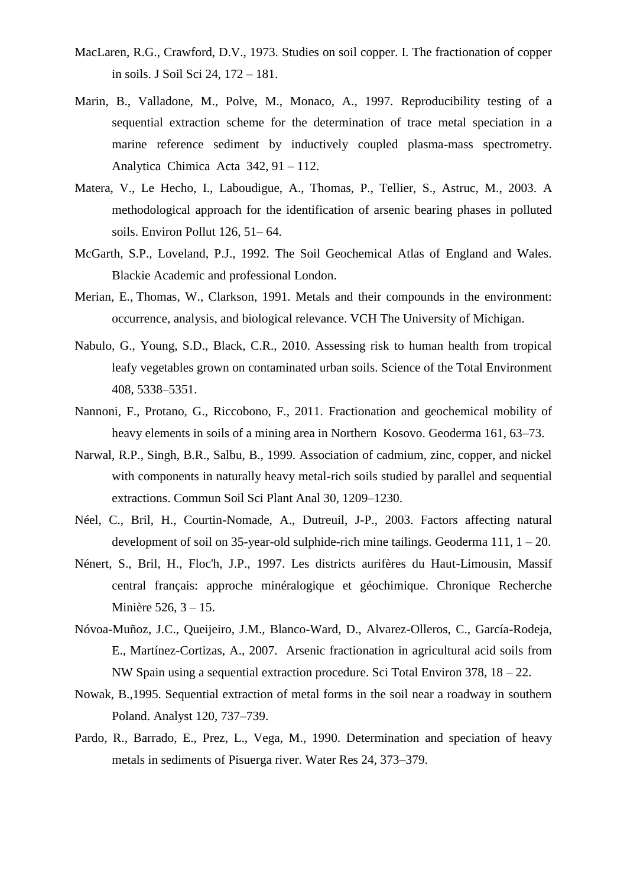- MacLaren, R.G., Crawford, D.V., 1973. Studies on soil copper. I. The fractionation of copper in soils. J Soil Sci 24, 172 – 181.
- Marin, B., Valladone, M., Polve, M., Monaco, A., 1997. Reproducibility testing of a sequential extraction scheme for the determination of trace metal speciation in a marine reference sediment by inductively coupled plasma-mass spectrometry. Analytica Chimica Acta 342, 91 – 112.
- Matera, V., Le Hecho, I., Laboudigue, A., Thomas, P., Tellier, S., Astruc, M., 2003. A methodological approach for the identification of arsenic bearing phases in polluted soils. Environ Pollut 126, 51– 64.
- McGarth, S.P., Loveland, P.J., 1992. The Soil Geochemical Atlas of England and Wales. Blackie Academic and professional London.
- Merian, E., Thomas, W., Clarkson, 1991. Metals and their compounds in the environment: occurrence, analysis, and biological relevance. VCH The University of Michigan.
- Nabulo, G., Young, S.D., Black, C.R., 2010. Assessing risk to human health from tropical leafy vegetables grown on contaminated urban soils. Science of the Total Environment 408, 5338–5351.
- Nannoni, F., Protano, G., Riccobono, F., 2011. Fractionation and geochemical mobility of heavy elements in soils of a mining area in Northern Kosovo. Geoderma 161, 63–73.
- Narwal, R.P., Singh, B.R., Salbu, B., 1999. Association of cadmium, zinc, copper, and nickel with components in naturally heavy metal-rich soils studied by parallel and sequential extractions. Commun Soil Sci Plant Anal 30, 1209–1230.
- Néel, C., Bril, H., Courtin-Nomade, A., Dutreuil, J-P., 2003. Factors affecting natural development of soil on 35-year-old sulphide-rich mine tailings. Geoderma 111,  $1 - 20$ .
- Nénert, S., Bril, H., Floc'h, J.P., 1997. Les districts aurifères du Haut-Limousin, Massif central français: approche minéralogique et géochimique. Chronique Recherche Minière 526, 3 – 15.
- Nóvoa-Muñoz, J.C., Queijeiro, J.M., Blanco-Ward, D., Alvarez-Olleros, C., García-Rodeja, E., Martínez-Cortizas, A., 2007. Arsenic fractionation in agricultural acid soils from NW Spain using a sequential extraction procedure. Sci Total Environ 378, 18 – 22.
- Nowak, B.,1995. Sequential extraction of metal forms in the soil near a roadway in southern Poland. Analyst 120, 737–739.
- Pardo, R., Barrado, E., Prez, L., Vega, M., 1990. Determination and speciation of heavy metals in sediments of Pisuerga river. Water Res 24, 373–379.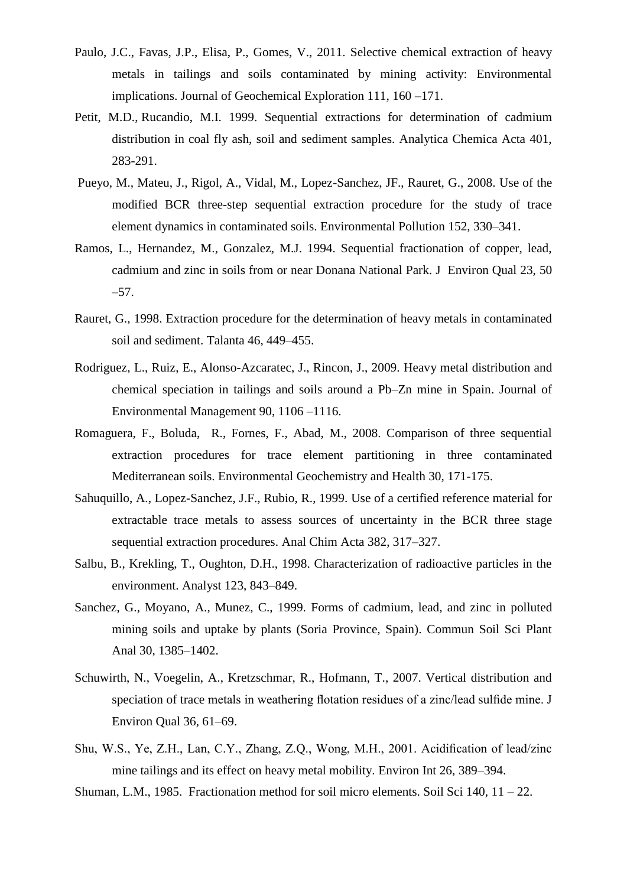- Paulo, J.C., Favas, J.P., Elisa, P., Gomes, V., 2011. Selective chemical extraction of heavy metals in tailings and soils contaminated by mining activity: Environmental implications. Journal of Geochemical Exploration 111, 160 –171.
- Petit, M.D., Rucandio, M.I. 1999. Sequential extractions for determination of cadmium distribution in coal fly ash, soil and sediment samples. Analytica Chemica Acta 401, 283-291.
- Pueyo, M., Mateu, J., Rigol, A., Vidal, M., Lopez-Sanchez, JF., Rauret, G., 2008. Use of the modified BCR three-step sequential extraction procedure for the study of trace element dynamics in contaminated soils. Environmental Pollution 152, 330–341.
- Ramos, L., Hernandez, M., Gonzalez, M.J. 1994. Sequential fractionation of copper, lead, cadmium and zinc in soils from or near Donana National Park. J Environ Qual 23, 50 –57.
- Rauret, G., 1998. Extraction procedure for the determination of heavy metals in contaminated soil and sediment. Talanta 46, 449–455.
- Rodriguez, L., Ruiz, E., Alonso-Azcaratec, J., Rincon, J., 2009. Heavy metal distribution and chemical speciation in tailings and soils around a Pb–Zn mine in Spain. Journal of Environmental Management 90, 1106 –1116.
- Romaguera, F., Boluda, R., Fornes, F., Abad, M., 2008. Comparison of three sequential extraction procedures for trace element partitioning in three contaminated Mediterranean soils. Environmental Geochemistry and Health 30, 171-175.
- Sahuquillo, A., Lopez-Sanchez, J.F., Rubio, R., 1999. Use of a certified reference material for extractable trace metals to assess sources of uncertainty in the BCR three stage sequential extraction procedures. Anal Chim Acta 382, 317–327.
- Salbu, B., Krekling, T., Oughton, D.H., 1998. Characterization of radioactive particles in the environment. Analyst 123, 843–849.
- Sanchez, G., Moyano, A., Munez, C., 1999. Forms of cadmium, lead, and zinc in polluted mining soils and uptake by plants (Soria Province, Spain). Commun Soil Sci Plant Anal 30, 1385–1402.
- Schuwirth, N., Voegelin, A., Kretzschmar, R., Hofmann, T., 2007. Vertical distribution and speciation of trace metals in weathering flotation residues of a zinc/lead sulfide mine. J Environ Qual 36, 61–69.
- Shu, W.S., Ye, Z.H., Lan, C.Y., Zhang, Z.Q., Wong, M.H., 2001. Acidification of lead/zinc mine tailings and its effect on heavy metal mobility. Environ Int 26, 389–394.
- Shuman, L.M., 1985. Fractionation method for soil micro elements. Soil Sci 140, 11 22.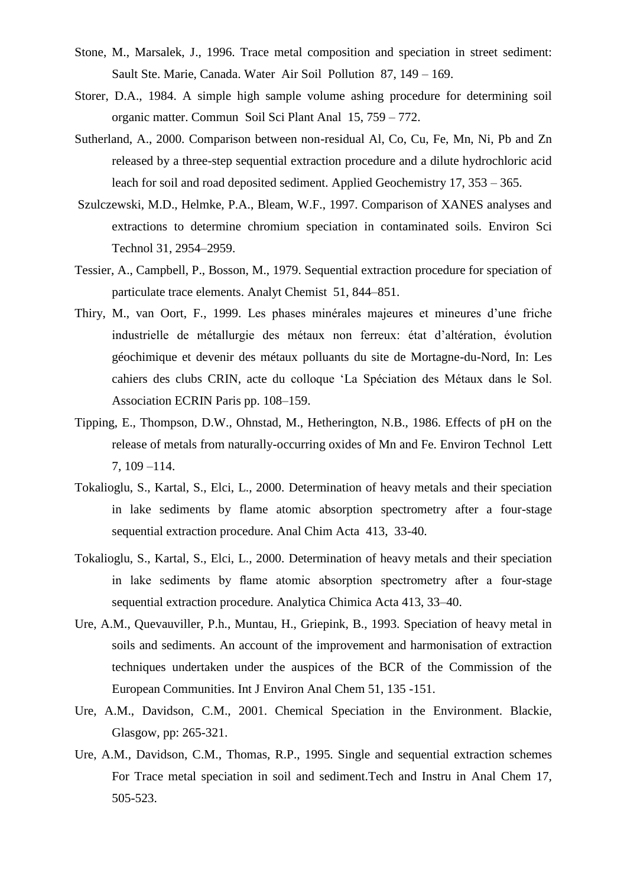- Stone, M., Marsalek, J., 1996. Trace metal composition and speciation in street sediment: Sault Ste. Marie, Canada. Water Air Soil Pollution 87, 149 – 169.
- Storer, D.A., 1984. A simple high sample volume ashing procedure for determining soil organic matter. Commun Soil Sci Plant Anal 15, 759 – 772.
- Sutherland, A., 2000. Comparison between non-residual Al, Co, Cu, Fe, Mn, Ni, Pb and Zn released by a three-step sequential extraction procedure and a dilute hydrochloric acid leach for soil and road deposited sediment. Applied Geochemistry 17, 353 – 365.
- Szulczewski, M.D., Helmke, P.A., Bleam, W.F., 1997. Comparison of XANES analyses and extractions to determine chromium speciation in contaminated soils. Environ Sci Technol 31, 2954–2959.
- Tessier, A., Campbell, P., Bosson, M., 1979. Sequential extraction procedure for speciation of particulate trace elements. Analyt Chemist 51, 844–851.
- Thiry, M., van Oort, F., 1999. Les phases minérales majeures et mineures d'une friche industrielle de métallurgie des métaux non ferreux: état d'altération, évolution géochimique et devenir des métaux polluants du site de Mortagne-du-Nord, In: Les cahiers des clubs CRIN, acte du colloque 'La Spéciation des Métaux dans le Sol. Association ECRIN Paris pp. 108–159.
- Tipping, E., Thompson, D.W., Ohnstad, M., Hetherington, N.B., 1986. Effects of pH on the release of metals from naturally-occurring oxides of Mn and Fe. Environ Technol Lett 7, 109 –114.
- Tokalioglu, S., Kartal, S., Elci, L., 2000. Determination of heavy metals and their speciation in lake sediments by flame atomic absorption spectrometry after a four-stage sequential extraction procedure. Anal Chim Acta 413, 33-40.
- Tokalioglu, S., Kartal, S., Elci, L., 2000. Determination of heavy metals and their speciation in lake sediments by flame atomic absorption spectrometry after a four-stage sequential extraction procedure. Analytica Chimica Acta 413, 33–40.
- Ure, A.M., Quevauviller, P.h., Muntau, H., Griepink, B., 1993. Speciation of heavy metal in soils and sediments. An account of the improvement and harmonisation of extraction techniques undertaken under the auspices of the BCR of the Commission of the European Communities. Int J Environ Anal Chem 51, 135 -151.
- Ure, A.M., Davidson, C.M., 2001. Chemical Speciation in the Environment. Blackie, Glasgow, pp: 265-321.
- Ure, A.M., Davidson, C.M., Thomas, R.P., 1995. Single and sequential extraction schemes For Trace metal speciation in soil and sediment.Tech and Instru in Anal Chem 17, 505-523.